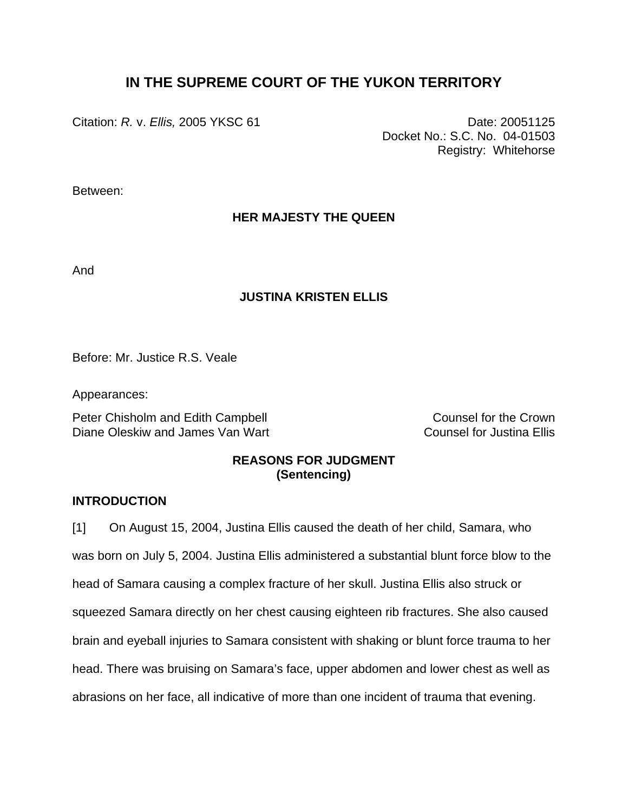# **IN THE SUPREME COURT OF THE YUKON TERRITORY**

Citation: *R. v. Ellis*, 2005 YKSC 61 Date: 20051125

Docket No.: S.C. No. 04-01503 Registry: Whitehorse

Between:

## **HER MAJESTY THE QUEEN**

And

### **JUSTINA KRISTEN ELLIS**

Before: Mr. Justice R.S. Veale

Appearances:

Peter Chisholm and Edith Campbell **Counsel Counsel for the Crown** Diane Oleskiw and James Van Wart Counsel for Justina Ellis

## **REASONS FOR JUDGMENT (Sentencing)**

#### **INTRODUCTION**

[1] On August 15, 2004, Justina Ellis caused the death of her child, Samara, who was born on July 5, 2004. Justina Ellis administered a substantial blunt force blow to the head of Samara causing a complex fracture of her skull. Justina Ellis also struck or squeezed Samara directly on her chest causing eighteen rib fractures. She also caused brain and eyeball injuries to Samara consistent with shaking or blunt force trauma to her head. There was bruising on Samara's face, upper abdomen and lower chest as well as abrasions on her face, all indicative of more than one incident of trauma that evening.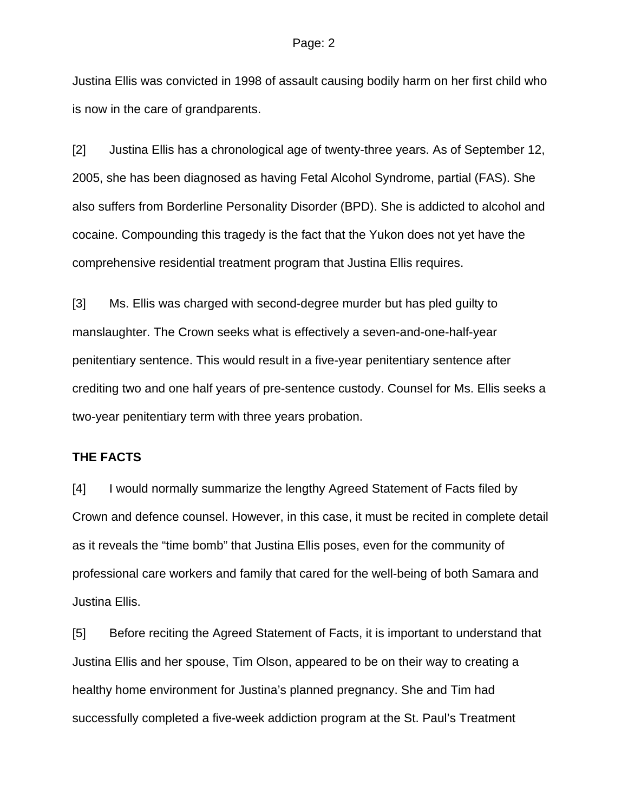Justina Ellis was convicted in 1998 of assault causing bodily harm on her first child who is now in the care of grandparents.

[2] Justina Ellis has a chronological age of twenty-three years. As of September 12, 2005, she has been diagnosed as having Fetal Alcohol Syndrome, partial (FAS). She also suffers from Borderline Personality Disorder (BPD). She is addicted to alcohol and cocaine. Compounding this tragedy is the fact that the Yukon does not yet have the comprehensive residential treatment program that Justina Ellis requires.

[3] Ms. Ellis was charged with second-degree murder but has pled guilty to manslaughter. The Crown seeks what is effectively a seven-and-one-half-year penitentiary sentence. This would result in a five-year penitentiary sentence after crediting two and one half years of pre-sentence custody. Counsel for Ms. Ellis seeks a two-year penitentiary term with three years probation.

### **THE FACTS**

[4] I would normally summarize the lengthy Agreed Statement of Facts filed by Crown and defence counsel. However, in this case, it must be recited in complete detail as it reveals the "time bomb" that Justina Ellis poses, even for the community of professional care workers and family that cared for the well-being of both Samara and Justina Ellis.

[5] Before reciting the Agreed Statement of Facts, it is important to understand that Justina Ellis and her spouse, Tim Olson, appeared to be on their way to creating a healthy home environment for Justina's planned pregnancy. She and Tim had successfully completed a five-week addiction program at the St. Paul's Treatment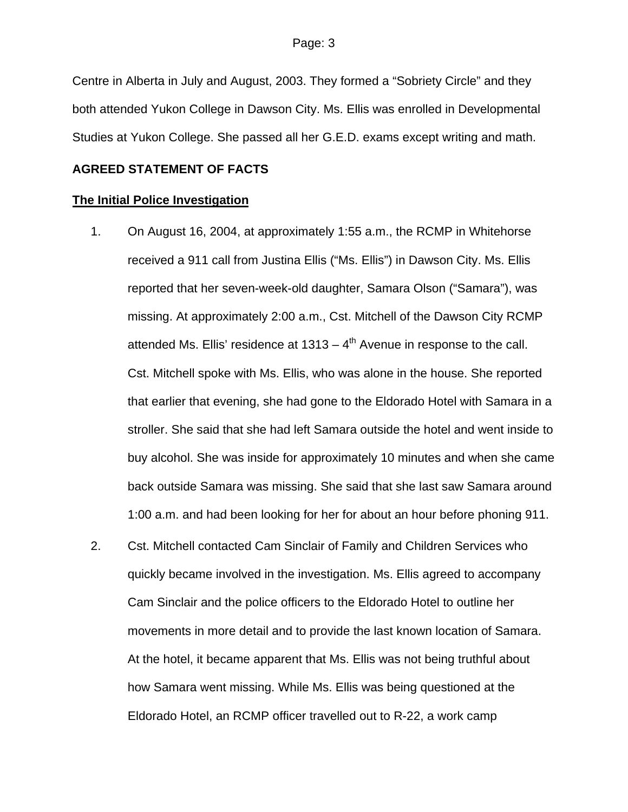Centre in Alberta in July and August, 2003. They formed a "Sobriety Circle" and they both attended Yukon College in Dawson City. Ms. Ellis was enrolled in Developmental Studies at Yukon College. She passed all her G.E.D. exams except writing and math.

#### **AGREED STATEMENT OF FACTS**

#### **The Initial Police Investigation**

- 1. On August 16, 2004, at approximately 1:55 a.m., the RCMP in Whitehorse received a 911 call from Justina Ellis ("Ms. Ellis") in Dawson City. Ms. Ellis reported that her seven-week-old daughter, Samara Olson ("Samara"), was missing. At approximately 2:00 a.m., Cst. Mitchell of the Dawson City RCMP attended Ms. Ellis' residence at  $1313 - 4$ <sup>th</sup> Avenue in response to the call. Cst. Mitchell spoke with Ms. Ellis, who was alone in the house. She reported that earlier that evening, she had gone to the Eldorado Hotel with Samara in a stroller. She said that she had left Samara outside the hotel and went inside to buy alcohol. She was inside for approximately 10 minutes and when she came back outside Samara was missing. She said that she last saw Samara around 1:00 a.m. and had been looking for her for about an hour before phoning 911.
- 2. Cst. Mitchell contacted Cam Sinclair of Family and Children Services who quickly became involved in the investigation. Ms. Ellis agreed to accompany Cam Sinclair and the police officers to the Eldorado Hotel to outline her movements in more detail and to provide the last known location of Samara. At the hotel, it became apparent that Ms. Ellis was not being truthful about how Samara went missing. While Ms. Ellis was being questioned at the Eldorado Hotel, an RCMP officer travelled out to R-22, a work camp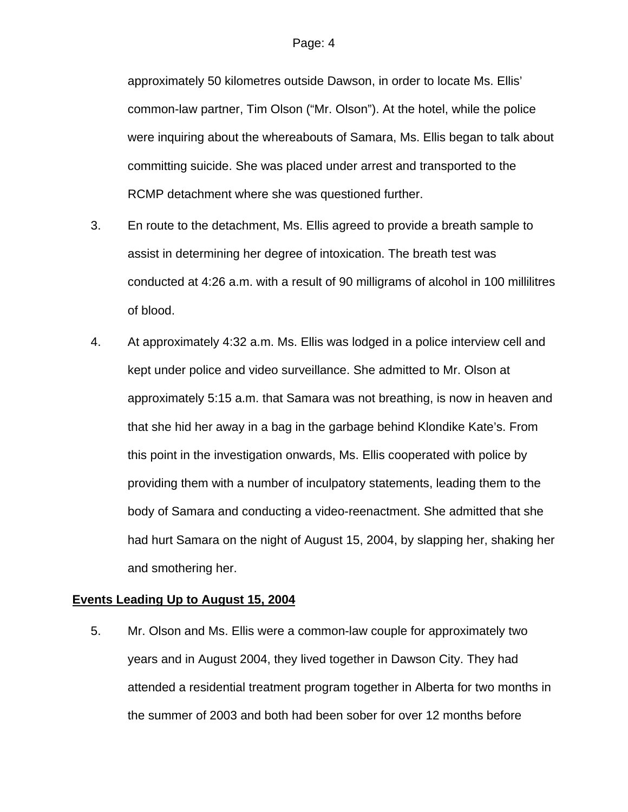approximately 50 kilometres outside Dawson, in order to locate Ms. Ellis' common-law partner, Tim Olson ("Mr. Olson"). At the hotel, while the police were inquiring about the whereabouts of Samara, Ms. Ellis began to talk about committing suicide. She was placed under arrest and transported to the RCMP detachment where she was questioned further.

- 3. En route to the detachment, Ms. Ellis agreed to provide a breath sample to assist in determining her degree of intoxication. The breath test was conducted at 4:26 a.m. with a result of 90 milligrams of alcohol in 100 millilitres of blood.
- 4. At approximately 4:32 a.m. Ms. Ellis was lodged in a police interview cell and kept under police and video surveillance. She admitted to Mr. Olson at approximately 5:15 a.m. that Samara was not breathing, is now in heaven and that she hid her away in a bag in the garbage behind Klondike Kate's. From this point in the investigation onwards, Ms. Ellis cooperated with police by providing them with a number of inculpatory statements, leading them to the body of Samara and conducting a video-reenactment. She admitted that she had hurt Samara on the night of August 15, 2004, by slapping her, shaking her and smothering her.

### **Events Leading Up to August 15, 2004**

5. Mr. Olson and Ms. Ellis were a common-law couple for approximately two years and in August 2004, they lived together in Dawson City. They had attended a residential treatment program together in Alberta for two months in the summer of 2003 and both had been sober for over 12 months before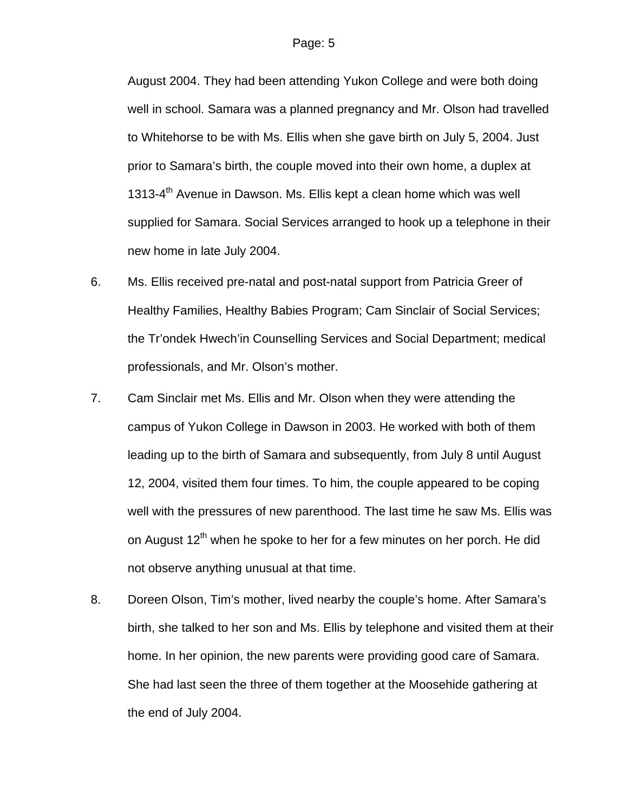August 2004. They had been attending Yukon College and were both doing well in school. Samara was a planned pregnancy and Mr. Olson had travelled to Whitehorse to be with Ms. Ellis when she gave birth on July 5, 2004. Just prior to Samara's birth, the couple moved into their own home, a duplex at 1313-4<sup>th</sup> Avenue in Dawson. Ms. Ellis kept a clean home which was well supplied for Samara. Social Services arranged to hook up a telephone in their new home in late July 2004.

- 6. Ms. Ellis received pre-natal and post-natal support from Patricia Greer of Healthy Families, Healthy Babies Program; Cam Sinclair of Social Services; the Tr'ondek Hwech'in Counselling Services and Social Department; medical professionals, and Mr. Olson's mother.
- 7. Cam Sinclair met Ms. Ellis and Mr. Olson when they were attending the campus of Yukon College in Dawson in 2003. He worked with both of them leading up to the birth of Samara and subsequently, from July 8 until August 12, 2004, visited them four times. To him, the couple appeared to be coping well with the pressures of new parenthood. The last time he saw Ms. Ellis was on August 12<sup>th</sup> when he spoke to her for a few minutes on her porch. He did not observe anything unusual at that time.
- 8. Doreen Olson, Tim's mother, lived nearby the couple's home. After Samara's birth, she talked to her son and Ms. Ellis by telephone and visited them at their home. In her opinion, the new parents were providing good care of Samara. She had last seen the three of them together at the Moosehide gathering at the end of July 2004.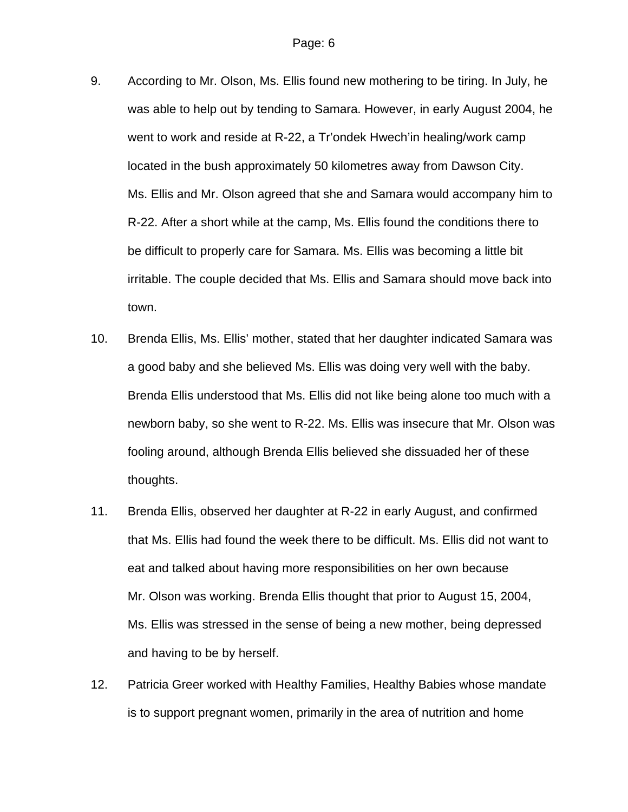- 9. According to Mr. Olson, Ms. Ellis found new mothering to be tiring. In July, he was able to help out by tending to Samara. However, in early August 2004, he went to work and reside at R-22, a Tr'ondek Hwech'in healing/work camp located in the bush approximately 50 kilometres away from Dawson City. Ms. Ellis and Mr. Olson agreed that she and Samara would accompany him to R-22. After a short while at the camp, Ms. Ellis found the conditions there to be difficult to properly care for Samara. Ms. Ellis was becoming a little bit irritable. The couple decided that Ms. Ellis and Samara should move back into town.
- 10. Brenda Ellis, Ms. Ellis' mother, stated that her daughter indicated Samara was a good baby and she believed Ms. Ellis was doing very well with the baby. Brenda Ellis understood that Ms. Ellis did not like being alone too much with a newborn baby, so she went to R-22. Ms. Ellis was insecure that Mr. Olson was fooling around, although Brenda Ellis believed she dissuaded her of these thoughts.
- 11. Brenda Ellis, observed her daughter at R-22 in early August, and confirmed that Ms. Ellis had found the week there to be difficult. Ms. Ellis did not want to eat and talked about having more responsibilities on her own because Mr. Olson was working. Brenda Ellis thought that prior to August 15, 2004, Ms. Ellis was stressed in the sense of being a new mother, being depressed and having to be by herself.
- 12. Patricia Greer worked with Healthy Families, Healthy Babies whose mandate is to support pregnant women, primarily in the area of nutrition and home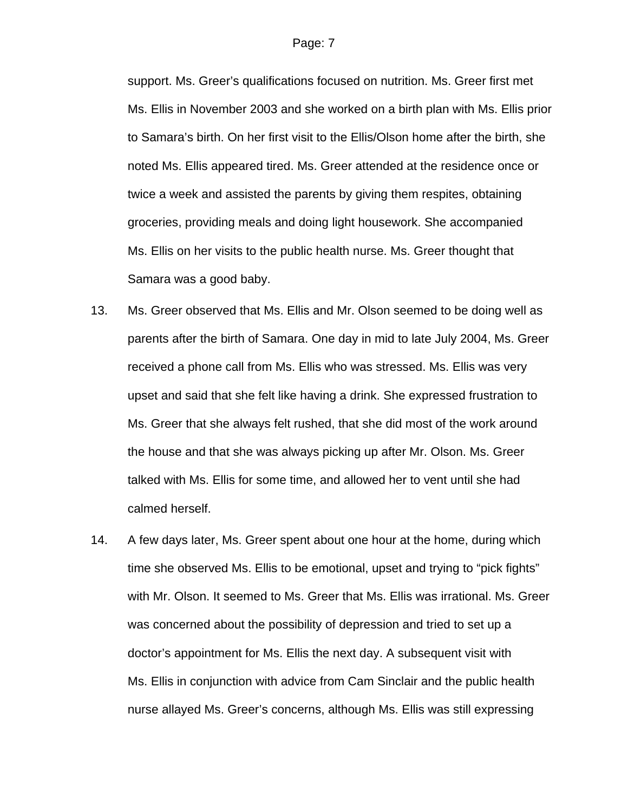support. Ms. Greer's qualifications focused on nutrition. Ms. Greer first met Ms. Ellis in November 2003 and she worked on a birth plan with Ms. Ellis prior to Samara's birth. On her first visit to the Ellis/Olson home after the birth, she noted Ms. Ellis appeared tired. Ms. Greer attended at the residence once or twice a week and assisted the parents by giving them respites, obtaining groceries, providing meals and doing light housework. She accompanied Ms. Ellis on her visits to the public health nurse. Ms. Greer thought that Samara was a good baby.

- 13. Ms. Greer observed that Ms. Ellis and Mr. Olson seemed to be doing well as parents after the birth of Samara. One day in mid to late July 2004, Ms. Greer received a phone call from Ms. Ellis who was stressed. Ms. Ellis was very upset and said that she felt like having a drink. She expressed frustration to Ms. Greer that she always felt rushed, that she did most of the work around the house and that she was always picking up after Mr. Olson. Ms. Greer talked with Ms. Ellis for some time, and allowed her to vent until she had calmed herself.
- 14. A few days later, Ms. Greer spent about one hour at the home, during which time she observed Ms. Ellis to be emotional, upset and trying to "pick fights" with Mr. Olson. It seemed to Ms. Greer that Ms. Ellis was irrational. Ms. Greer was concerned about the possibility of depression and tried to set up a doctor's appointment for Ms. Ellis the next day. A subsequent visit with Ms. Ellis in conjunction with advice from Cam Sinclair and the public health nurse allayed Ms. Greer's concerns, although Ms. Ellis was still expressing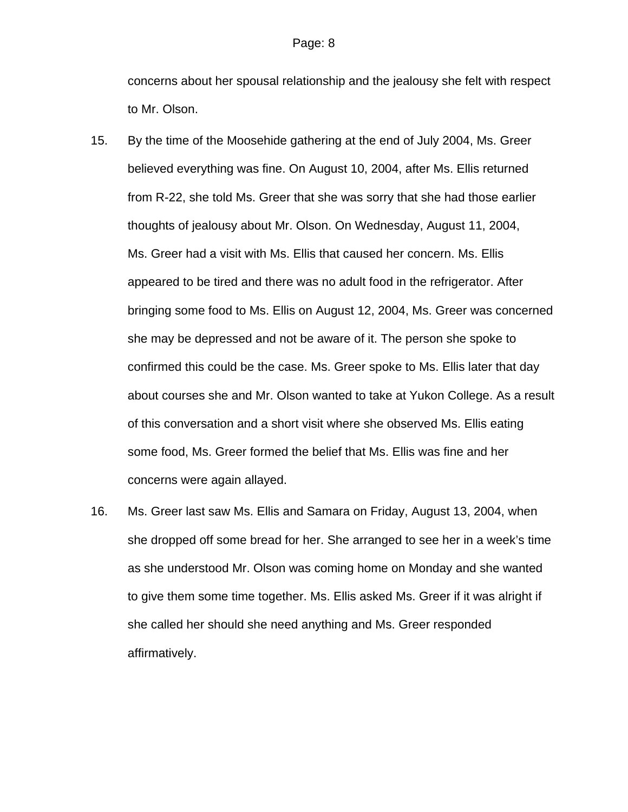concerns about her spousal relationship and the jealousy she felt with respect to Mr. Olson.

- 15. By the time of the Moosehide gathering at the end of July 2004, Ms. Greer believed everything was fine. On August 10, 2004, after Ms. Ellis returned from R-22, she told Ms. Greer that she was sorry that she had those earlier thoughts of jealousy about Mr. Olson. On Wednesday, August 11, 2004, Ms. Greer had a visit with Ms. Ellis that caused her concern. Ms. Ellis appeared to be tired and there was no adult food in the refrigerator. After bringing some food to Ms. Ellis on August 12, 2004, Ms. Greer was concerned she may be depressed and not be aware of it. The person she spoke to confirmed this could be the case. Ms. Greer spoke to Ms. Ellis later that day about courses she and Mr. Olson wanted to take at Yukon College. As a result of this conversation and a short visit where she observed Ms. Ellis eating some food, Ms. Greer formed the belief that Ms. Ellis was fine and her concerns were again allayed.
- 16. Ms. Greer last saw Ms. Ellis and Samara on Friday, August 13, 2004, when she dropped off some bread for her. She arranged to see her in a week's time as she understood Mr. Olson was coming home on Monday and she wanted to give them some time together. Ms. Ellis asked Ms. Greer if it was alright if she called her should she need anything and Ms. Greer responded affirmatively.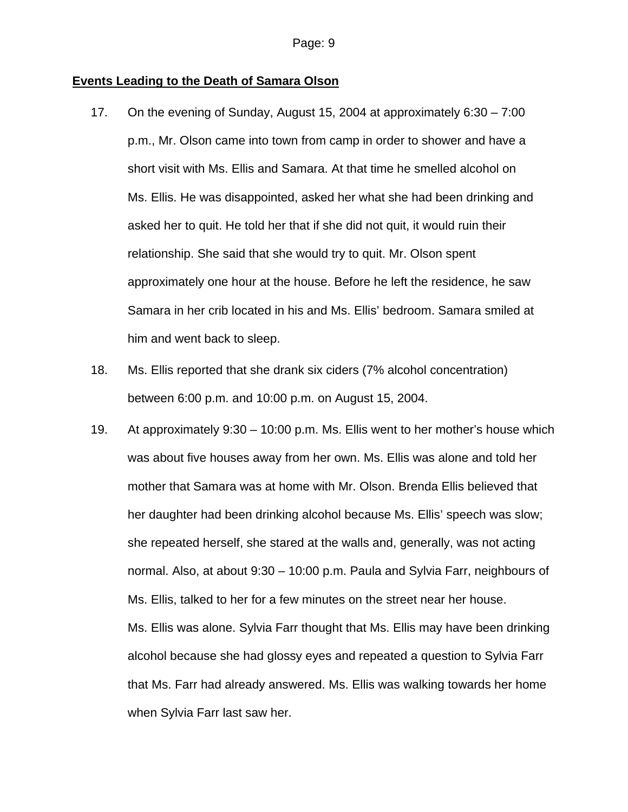#### **Events Leading to the Death of Samara Olson**

- 17. On the evening of Sunday, August 15, 2004 at approximately 6:30 7:00 p.m., Mr. Olson came into town from camp in order to shower and have a short visit with Ms. Ellis and Samara. At that time he smelled alcohol on Ms. Ellis. He was disappointed, asked her what she had been drinking and asked her to quit. He told her that if she did not quit, it would ruin their relationship. She said that she would try to quit. Mr. Olson spent approximately one hour at the house. Before he left the residence, he saw Samara in her crib located in his and Ms. Ellis' bedroom. Samara smiled at him and went back to sleep.
- 18. Ms. Ellis reported that she drank six ciders (7% alcohol concentration) between 6:00 p.m. and 10:00 p.m. on August 15, 2004.
- 19. At approximately 9:30 10:00 p.m. Ms. Ellis went to her mother's house which was about five houses away from her own. Ms. Ellis was alone and told her mother that Samara was at home with Mr. Olson. Brenda Ellis believed that her daughter had been drinking alcohol because Ms. Ellis' speech was slow; she repeated herself, she stared at the walls and, generally, was not acting normal. Also, at about 9:30 – 10:00 p.m. Paula and Sylvia Farr, neighbours of Ms. Ellis, talked to her for a few minutes on the street near her house. Ms. Ellis was alone. Sylvia Farr thought that Ms. Ellis may have been drinking alcohol because she had glossy eyes and repeated a question to Sylvia Farr that Ms. Farr had already answered. Ms. Ellis was walking towards her home when Sylvia Farr last saw her.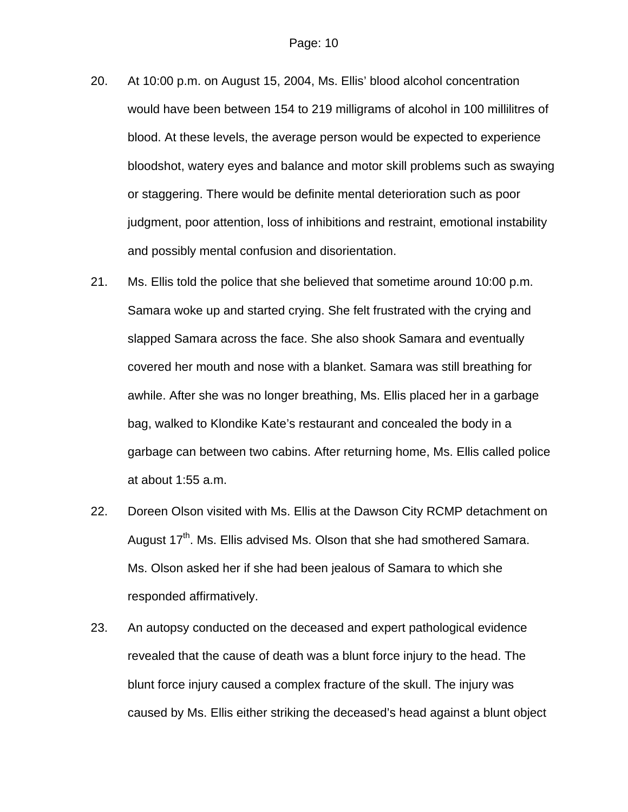- 20. At 10:00 p.m. on August 15, 2004, Ms. Ellis' blood alcohol concentration would have been between 154 to 219 milligrams of alcohol in 100 millilitres of blood. At these levels, the average person would be expected to experience bloodshot, watery eyes and balance and motor skill problems such as swaying or staggering. There would be definite mental deterioration such as poor judgment, poor attention, loss of inhibitions and restraint, emotional instability and possibly mental confusion and disorientation.
- 21. Ms. Ellis told the police that she believed that sometime around 10:00 p.m. Samara woke up and started crying. She felt frustrated with the crying and slapped Samara across the face. She also shook Samara and eventually covered her mouth and nose with a blanket. Samara was still breathing for awhile. After she was no longer breathing, Ms. Ellis placed her in a garbage bag, walked to Klondike Kate's restaurant and concealed the body in a garbage can between two cabins. After returning home, Ms. Ellis called police at about 1:55 a.m.
- 22. Doreen Olson visited with Ms. Ellis at the Dawson City RCMP detachment on August 17<sup>th</sup>. Ms. Ellis advised Ms. Olson that she had smothered Samara. Ms. Olson asked her if she had been jealous of Samara to which she responded affirmatively.
- 23. An autopsy conducted on the deceased and expert pathological evidence revealed that the cause of death was a blunt force injury to the head. The blunt force injury caused a complex fracture of the skull. The injury was caused by Ms. Ellis either striking the deceased's head against a blunt object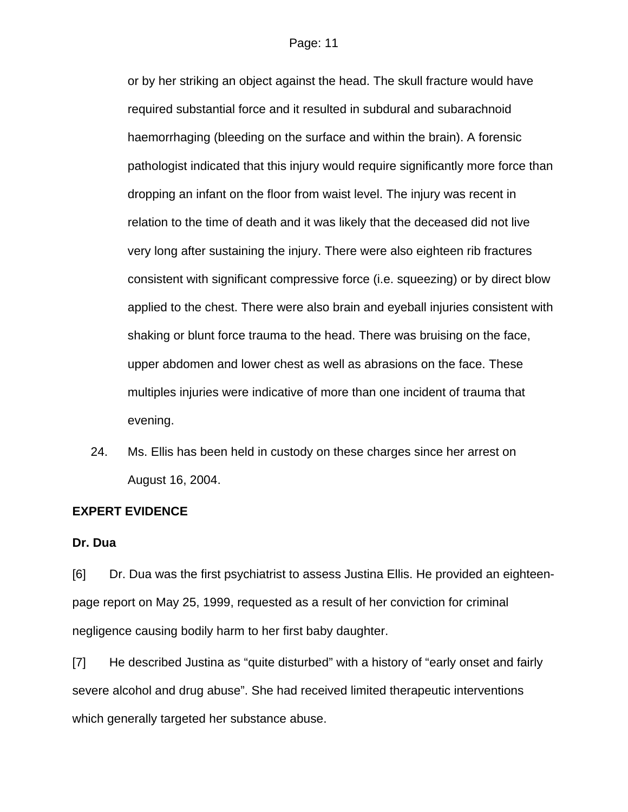or by her striking an object against the head. The skull fracture would have required substantial force and it resulted in subdural and subarachnoid haemorrhaging (bleeding on the surface and within the brain). A forensic pathologist indicated that this injury would require significantly more force than dropping an infant on the floor from waist level. The injury was recent in relation to the time of death and it was likely that the deceased did not live very long after sustaining the injury. There were also eighteen rib fractures consistent with significant compressive force (i.e. squeezing) or by direct blow applied to the chest. There were also brain and eyeball injuries consistent with shaking or blunt force trauma to the head. There was bruising on the face, upper abdomen and lower chest as well as abrasions on the face. These multiples injuries were indicative of more than one incident of trauma that evening.

24. Ms. Ellis has been held in custody on these charges since her arrest on August 16, 2004.

#### **EXPERT EVIDENCE**

#### **Dr. Dua**

[6] Dr. Dua was the first psychiatrist to assess Justina Ellis. He provided an eighteenpage report on May 25, 1999, requested as a result of her conviction for criminal negligence causing bodily harm to her first baby daughter.

[7] He described Justina as "quite disturbed" with a history of "early onset and fairly severe alcohol and drug abuse". She had received limited therapeutic interventions which generally targeted her substance abuse.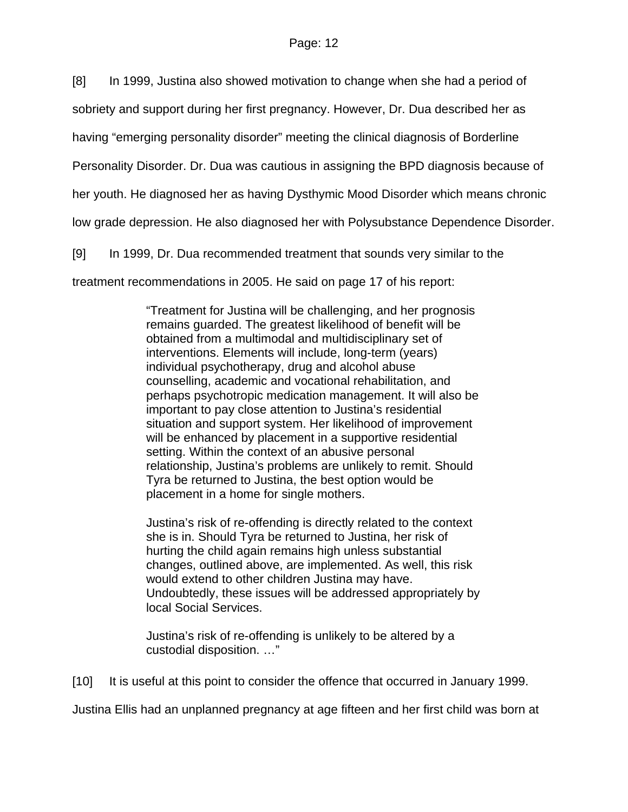[8] In 1999, Justina also showed motivation to change when she had a period of

sobriety and support during her first pregnancy. However, Dr. Dua described her as

having "emerging personality disorder" meeting the clinical diagnosis of Borderline

Personality Disorder. Dr. Dua was cautious in assigning the BPD diagnosis because of

her youth. He diagnosed her as having Dysthymic Mood Disorder which means chronic

low grade depression. He also diagnosed her with Polysubstance Dependence Disorder.

[9] In 1999, Dr. Dua recommended treatment that sounds very similar to the

treatment recommendations in 2005. He said on page 17 of his report:

"Treatment for Justina will be challenging, and her prognosis remains guarded. The greatest likelihood of benefit will be obtained from a multimodal and multidisciplinary set of interventions. Elements will include, long-term (years) individual psychotherapy, drug and alcohol abuse counselling, academic and vocational rehabilitation, and perhaps psychotropic medication management. It will also be important to pay close attention to Justina's residential situation and support system. Her likelihood of improvement will be enhanced by placement in a supportive residential setting. Within the context of an abusive personal relationship, Justina's problems are unlikely to remit. Should Tyra be returned to Justina, the best option would be placement in a home for single mothers.

Justina's risk of re-offending is directly related to the context she is in. Should Tyra be returned to Justina, her risk of hurting the child again remains high unless substantial changes, outlined above, are implemented. As well, this risk would extend to other children Justina may have. Undoubtedly, these issues will be addressed appropriately by local Social Services.

Justina's risk of re-offending is unlikely to be altered by a custodial disposition. …"

[10] It is useful at this point to consider the offence that occurred in January 1999.

Justina Ellis had an unplanned pregnancy at age fifteen and her first child was born at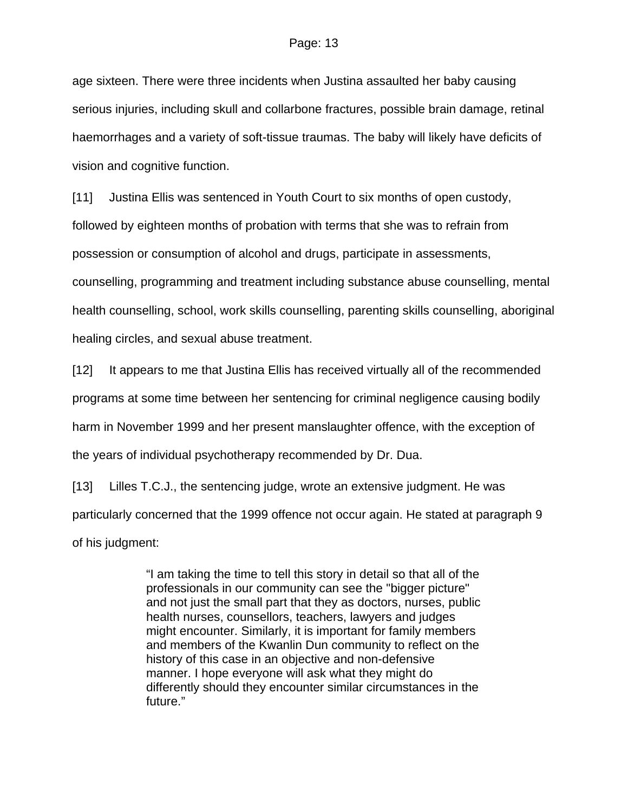age sixteen. There were three incidents when Justina assaulted her baby causing serious injuries, including skull and collarbone fractures, possible brain damage, retinal haemorrhages and a variety of soft-tissue traumas. The baby will likely have deficits of vision and cognitive function.

[11] Justina Ellis was sentenced in Youth Court to six months of open custody, followed by eighteen months of probation with terms that she was to refrain from possession or consumption of alcohol and drugs, participate in assessments, counselling, programming and treatment including substance abuse counselling, mental health counselling, school, work skills counselling, parenting skills counselling, aboriginal healing circles, and sexual abuse treatment.

[12] It appears to me that Justina Ellis has received virtually all of the recommended programs at some time between her sentencing for criminal negligence causing bodily harm in November 1999 and her present manslaughter offence, with the exception of the years of individual psychotherapy recommended by Dr. Dua.

[13] Lilles T.C.J., the sentencing judge, wrote an extensive judgment. He was particularly concerned that the 1999 offence not occur again. He stated at paragraph 9 of his judgment:

> "I am taking the time to tell this story in detail so that all of the professionals in our community can see the "bigger picture" and not just the small part that they as doctors, nurses, public health nurses, counsellors, teachers, lawyers and judges might encounter. Similarly, it is important for family members and members of the Kwanlin Dun community to reflect on the history of this case in an objective and non-defensive manner. I hope everyone will ask what they might do differently should they encounter similar circumstances in the future."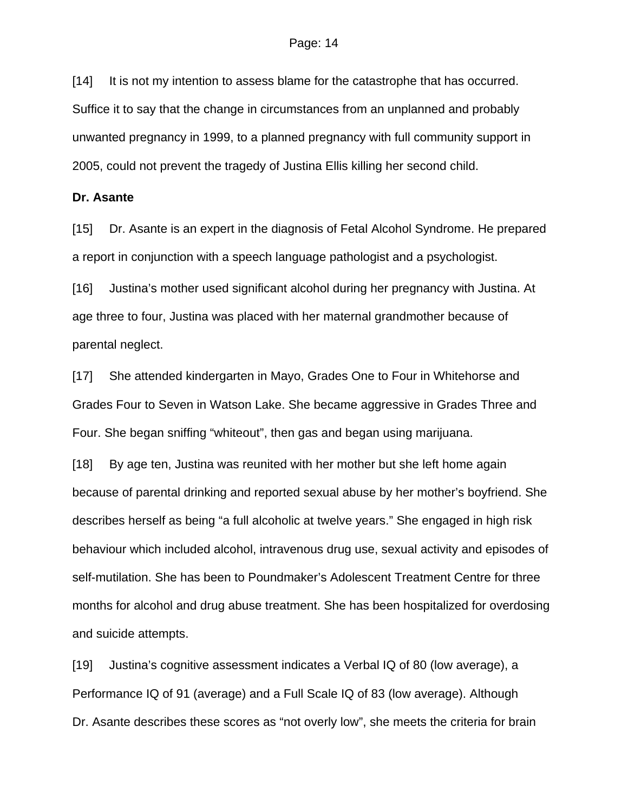[14] It is not my intention to assess blame for the catastrophe that has occurred. Suffice it to say that the change in circumstances from an unplanned and probably unwanted pregnancy in 1999, to a planned pregnancy with full community support in 2005, could not prevent the tragedy of Justina Ellis killing her second child.

#### **Dr. Asante**

[15] Dr. Asante is an expert in the diagnosis of Fetal Alcohol Syndrome. He prepared a report in conjunction with a speech language pathologist and a psychologist.

[16] Justina's mother used significant alcohol during her pregnancy with Justina. At age three to four, Justina was placed with her maternal grandmother because of parental neglect.

[17] She attended kindergarten in Mayo, Grades One to Four in Whitehorse and Grades Four to Seven in Watson Lake. She became aggressive in Grades Three and Four. She began sniffing "whiteout", then gas and began using marijuana.

[18] By age ten, Justina was reunited with her mother but she left home again because of parental drinking and reported sexual abuse by her mother's boyfriend. She describes herself as being "a full alcoholic at twelve years." She engaged in high risk behaviour which included alcohol, intravenous drug use, sexual activity and episodes of self-mutilation. She has been to Poundmaker's Adolescent Treatment Centre for three months for alcohol and drug abuse treatment. She has been hospitalized for overdosing and suicide attempts.

[19] Justina's cognitive assessment indicates a Verbal IQ of 80 (low average), a Performance IQ of 91 (average) and a Full Scale IQ of 83 (low average). Although Dr. Asante describes these scores as "not overly low", she meets the criteria for brain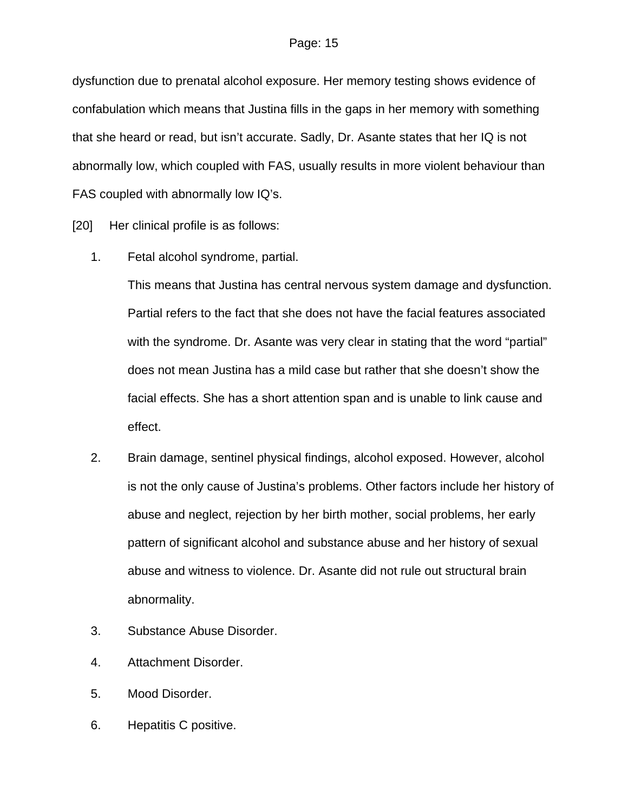dysfunction due to prenatal alcohol exposure. Her memory testing shows evidence of confabulation which means that Justina fills in the gaps in her memory with something that she heard or read, but isn't accurate. Sadly, Dr. Asante states that her IQ is not abnormally low, which coupled with FAS, usually results in more violent behaviour than FAS coupled with abnormally low IQ's.

[20] Her clinical profile is as follows:

1. Fetal alcohol syndrome, partial.

This means that Justina has central nervous system damage and dysfunction. Partial refers to the fact that she does not have the facial features associated with the syndrome. Dr. Asante was very clear in stating that the word "partial" does not mean Justina has a mild case but rather that she doesn't show the facial effects. She has a short attention span and is unable to link cause and effect.

- 2. Brain damage, sentinel physical findings, alcohol exposed. However, alcohol is not the only cause of Justina's problems. Other factors include her history of abuse and neglect, rejection by her birth mother, social problems, her early pattern of significant alcohol and substance abuse and her history of sexual abuse and witness to violence. Dr. Asante did not rule out structural brain abnormality.
- 3. Substance Abuse Disorder.
- 4. Attachment Disorder.
- 5. Mood Disorder.
- 6. Hepatitis C positive.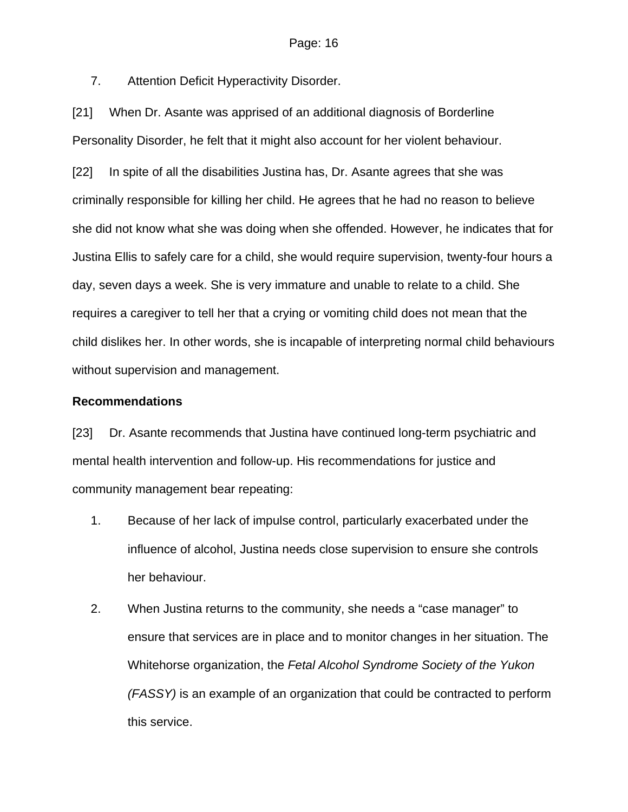7. Attention Deficit Hyperactivity Disorder.

[21] When Dr. Asante was apprised of an additional diagnosis of Borderline Personality Disorder, he felt that it might also account for her violent behaviour.

[22] In spite of all the disabilities Justina has, Dr. Asante agrees that she was criminally responsible for killing her child. He agrees that he had no reason to believe she did not know what she was doing when she offended. However, he indicates that for Justina Ellis to safely care for a child, she would require supervision, twenty-four hours a day, seven days a week. She is very immature and unable to relate to a child. She requires a caregiver to tell her that a crying or vomiting child does not mean that the child dislikes her. In other words, she is incapable of interpreting normal child behaviours without supervision and management.

#### **Recommendations**

[23] Dr. Asante recommends that Justina have continued long-term psychiatric and mental health intervention and follow-up. His recommendations for justice and community management bear repeating:

- 1. Because of her lack of impulse control, particularly exacerbated under the influence of alcohol, Justina needs close supervision to ensure she controls her behaviour.
- 2. When Justina returns to the community, she needs a "case manager" to ensure that services are in place and to monitor changes in her situation. The Whitehorse organization, the *Fetal Alcohol Syndrome Society of the Yukon (FASSY)* is an example of an organization that could be contracted to perform this service.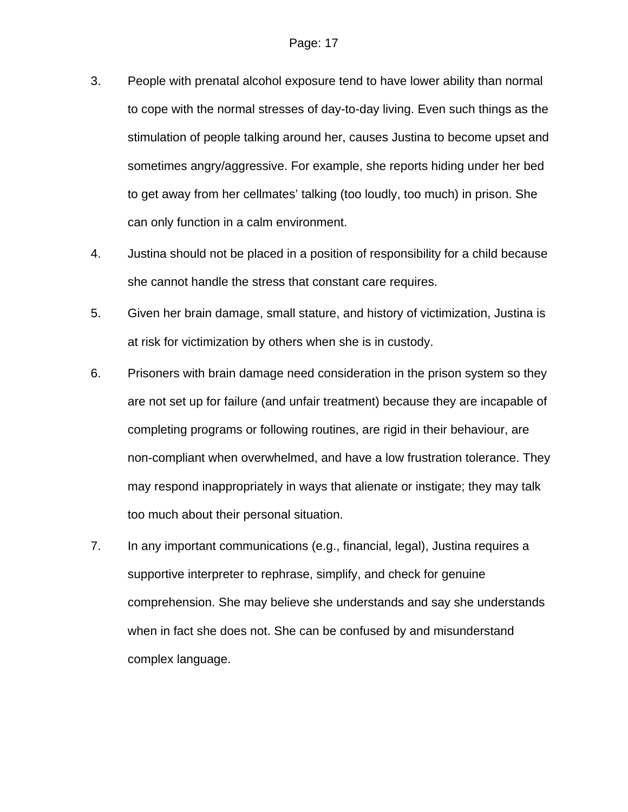- 3. People with prenatal alcohol exposure tend to have lower ability than normal to cope with the normal stresses of day-to-day living. Even such things as the stimulation of people talking around her, causes Justina to become upset and sometimes angry/aggressive. For example, she reports hiding under her bed to get away from her cellmates' talking (too loudly, too much) in prison. She can only function in a calm environment.
- 4. Justina should not be placed in a position of responsibility for a child because she cannot handle the stress that constant care requires.
- 5. Given her brain damage, small stature, and history of victimization, Justina is at risk for victimization by others when she is in custody.
- 6. Prisoners with brain damage need consideration in the prison system so they are not set up for failure (and unfair treatment) because they are incapable of completing programs or following routines, are rigid in their behaviour, are non-compliant when overwhelmed, and have a low frustration tolerance. They may respond inappropriately in ways that alienate or instigate; they may talk too much about their personal situation.
- 7. In any important communications (e.g., financial, legal), Justina requires a supportive interpreter to rephrase, simplify, and check for genuine comprehension. She may believe she understands and say she understands when in fact she does not. She can be confused by and misunderstand complex language.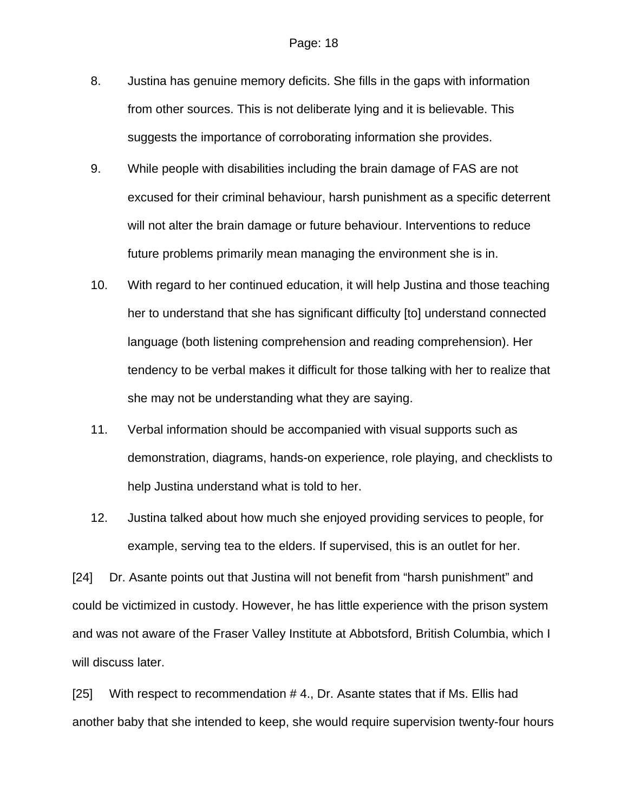- 8. Justina has genuine memory deficits. She fills in the gaps with information from other sources. This is not deliberate lying and it is believable. This suggests the importance of corroborating information she provides.
- 9. While people with disabilities including the brain damage of FAS are not excused for their criminal behaviour, harsh punishment as a specific deterrent will not alter the brain damage or future behaviour. Interventions to reduce future problems primarily mean managing the environment she is in.
- 10. With regard to her continued education, it will help Justina and those teaching her to understand that she has significant difficulty [to] understand connected language (both listening comprehension and reading comprehension). Her tendency to be verbal makes it difficult for those talking with her to realize that she may not be understanding what they are saying.
- 11. Verbal information should be accompanied with visual supports such as demonstration, diagrams, hands-on experience, role playing, and checklists to help Justina understand what is told to her.
- 12. Justina talked about how much she enjoyed providing services to people, for example, serving tea to the elders. If supervised, this is an outlet for her.

[24] Dr. Asante points out that Justina will not benefit from "harsh punishment" and could be victimized in custody. However, he has little experience with the prison system and was not aware of the Fraser Valley Institute at Abbotsford, British Columbia, which I will discuss later.

[25] With respect to recommendation #4., Dr. Asante states that if Ms. Ellis had another baby that she intended to keep, she would require supervision twenty-four hours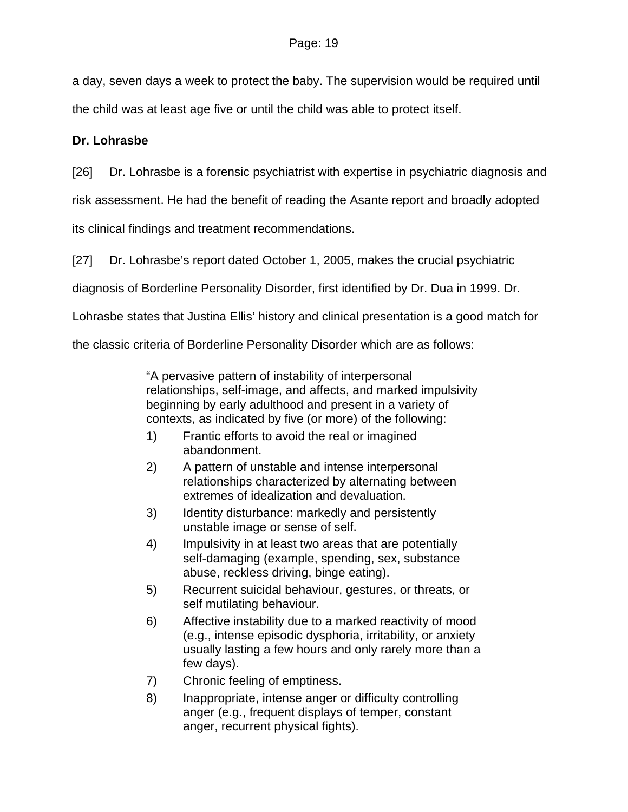a day, seven days a week to protect the baby. The supervision would be required until the child was at least age five or until the child was able to protect itself.

## **Dr. Lohrasbe**

[26] Dr. Lohrasbe is a forensic psychiatrist with expertise in psychiatric diagnosis and

risk assessment. He had the benefit of reading the Asante report and broadly adopted

its clinical findings and treatment recommendations.

[27] Dr. Lohrasbe's report dated October 1, 2005, makes the crucial psychiatric

diagnosis of Borderline Personality Disorder, first identified by Dr. Dua in 1999. Dr.

Lohrasbe states that Justina Ellis' history and clinical presentation is a good match for

the classic criteria of Borderline Personality Disorder which are as follows:

"A pervasive pattern of instability of interpersonal relationships, self-image, and affects, and marked impulsivity beginning by early adulthood and present in a variety of contexts, as indicated by five (or more) of the following:

- 1) Frantic efforts to avoid the real or imagined abandonment.
- 2) A pattern of unstable and intense interpersonal relationships characterized by alternating between extremes of idealization and devaluation.
- 3) Identity disturbance: markedly and persistently unstable image or sense of self.
- 4) Impulsivity in at least two areas that are potentially self-damaging (example, spending, sex, substance abuse, reckless driving, binge eating).
- 5) Recurrent suicidal behaviour, gestures, or threats, or self mutilating behaviour.
- 6) Affective instability due to a marked reactivity of mood (e.g., intense episodic dysphoria, irritability, or anxiety usually lasting a few hours and only rarely more than a few days).
- 7) Chronic feeling of emptiness.
- 8) Inappropriate, intense anger or difficulty controlling anger (e.g., frequent displays of temper, constant anger, recurrent physical fights).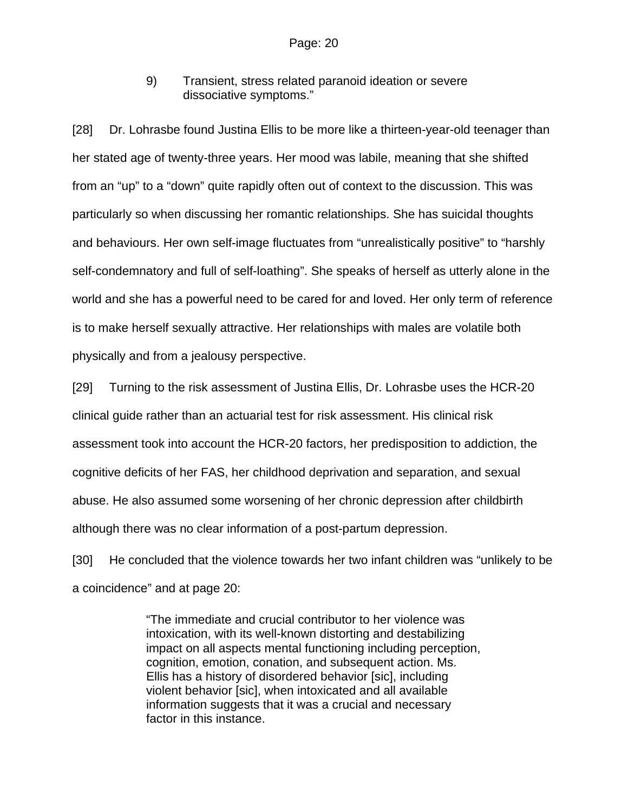9) Transient, stress related paranoid ideation or severe dissociative symptoms."

[28] Dr. Lohrasbe found Justina Ellis to be more like a thirteen-year-old teenager than her stated age of twenty-three years. Her mood was labile, meaning that she shifted from an "up" to a "down" quite rapidly often out of context to the discussion. This was particularly so when discussing her romantic relationships. She has suicidal thoughts and behaviours. Her own self-image fluctuates from "unrealistically positive" to "harshly self-condemnatory and full of self-loathing". She speaks of herself as utterly alone in the world and she has a powerful need to be cared for and loved. Her only term of reference is to make herself sexually attractive. Her relationships with males are volatile both physically and from a jealousy perspective.

[29] Turning to the risk assessment of Justina Ellis, Dr. Lohrasbe uses the HCR-20 clinical guide rather than an actuarial test for risk assessment. His clinical risk assessment took into account the HCR-20 factors, her predisposition to addiction, the cognitive deficits of her FAS, her childhood deprivation and separation, and sexual abuse. He also assumed some worsening of her chronic depression after childbirth although there was no clear information of a post-partum depression.

[30] He concluded that the violence towards her two infant children was "unlikely to be a coincidence" and at page 20:

> "The immediate and crucial contributor to her violence was intoxication, with its well-known distorting and destabilizing impact on all aspects mental functioning including perception, cognition, emotion, conation, and subsequent action. Ms. Ellis has a history of disordered behavior [sic], including violent behavior [sic], when intoxicated and all available information suggests that it was a crucial and necessary factor in this instance.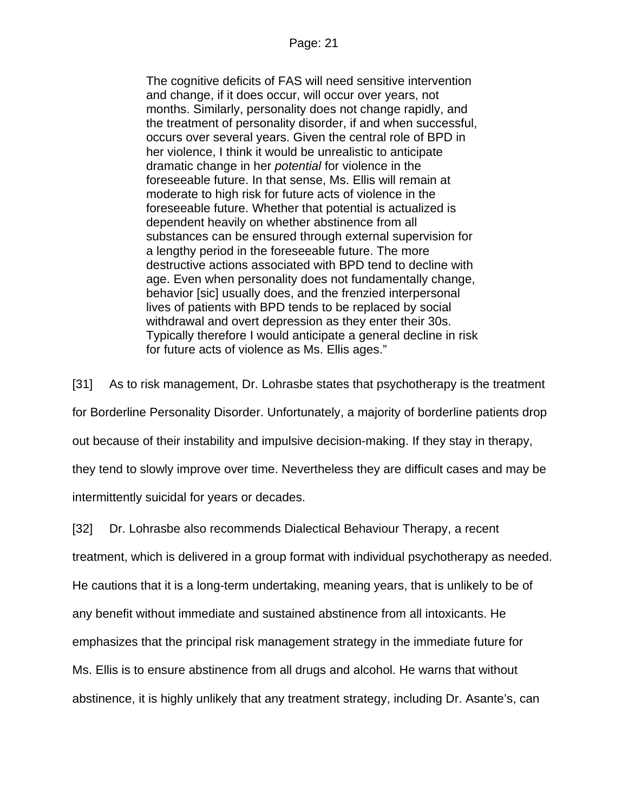The cognitive deficits of FAS will need sensitive intervention and change, if it does occur, will occur over years, not months. Similarly, personality does not change rapidly, and the treatment of personality disorder, if and when successful, occurs over several years. Given the central role of BPD in her violence, I think it would be unrealistic to anticipate dramatic change in her *potential* for violence in the foreseeable future. In that sense, Ms. Ellis will remain at moderate to high risk for future acts of violence in the foreseeable future. Whether that potential is actualized is dependent heavily on whether abstinence from all substances can be ensured through external supervision for a lengthy period in the foreseeable future. The more destructive actions associated with BPD tend to decline with age. Even when personality does not fundamentally change, behavior [sic] usually does, and the frenzied interpersonal lives of patients with BPD tends to be replaced by social withdrawal and overt depression as they enter their 30s. Typically therefore I would anticipate a general decline in risk for future acts of violence as Ms. Ellis ages."

[31] As to risk management, Dr. Lohrasbe states that psychotherapy is the treatment for Borderline Personality Disorder. Unfortunately, a majority of borderline patients drop out because of their instability and impulsive decision-making. If they stay in therapy, they tend to slowly improve over time. Nevertheless they are difficult cases and may be intermittently suicidal for years or decades.

[32] Dr. Lohrasbe also recommends Dialectical Behaviour Therapy, a recent treatment, which is delivered in a group format with individual psychotherapy as needed. He cautions that it is a long-term undertaking, meaning years, that is unlikely to be of any benefit without immediate and sustained abstinence from all intoxicants. He emphasizes that the principal risk management strategy in the immediate future for Ms. Ellis is to ensure abstinence from all drugs and alcohol. He warns that without abstinence, it is highly unlikely that any treatment strategy, including Dr. Asante's, can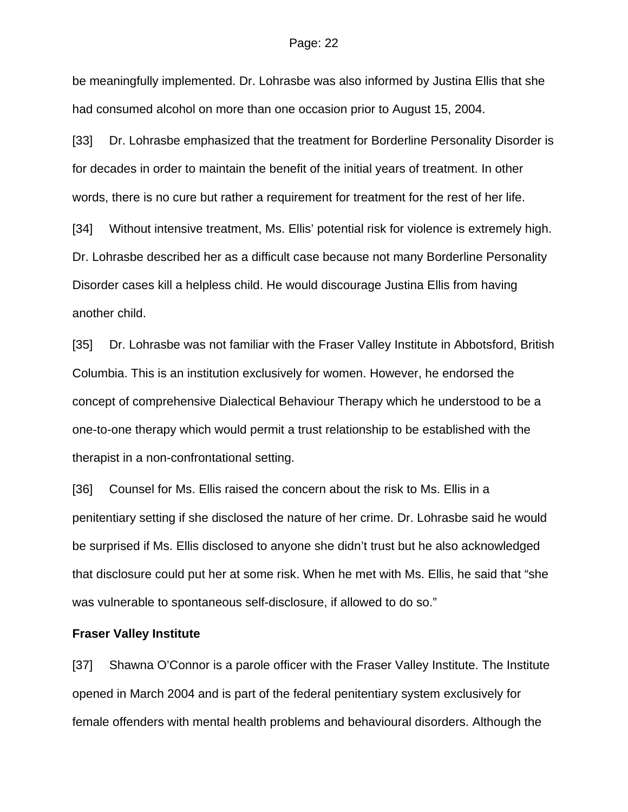#### Page: 22

be meaningfully implemented. Dr. Lohrasbe was also informed by Justina Ellis that she had consumed alcohol on more than one occasion prior to August 15, 2004.

[33] Dr. Lohrasbe emphasized that the treatment for Borderline Personality Disorder is for decades in order to maintain the benefit of the initial years of treatment. In other words, there is no cure but rather a requirement for treatment for the rest of her life.

[34] Without intensive treatment, Ms. Ellis' potential risk for violence is extremely high. Dr. Lohrasbe described her as a difficult case because not many Borderline Personality Disorder cases kill a helpless child. He would discourage Justina Ellis from having another child.

[35] Dr. Lohrasbe was not familiar with the Fraser Valley Institute in Abbotsford, British Columbia. This is an institution exclusively for women. However, he endorsed the concept of comprehensive Dialectical Behaviour Therapy which he understood to be a one-to-one therapy which would permit a trust relationship to be established with the therapist in a non-confrontational setting.

[36] Counsel for Ms. Ellis raised the concern about the risk to Ms. Ellis in a penitentiary setting if she disclosed the nature of her crime. Dr. Lohrasbe said he would be surprised if Ms. Ellis disclosed to anyone she didn't trust but he also acknowledged that disclosure could put her at some risk. When he met with Ms. Ellis, he said that "she was vulnerable to spontaneous self-disclosure, if allowed to do so."

#### **Fraser Valley Institute**

[37] Shawna O'Connor is a parole officer with the Fraser Valley Institute. The Institute opened in March 2004 and is part of the federal penitentiary system exclusively for female offenders with mental health problems and behavioural disorders. Although the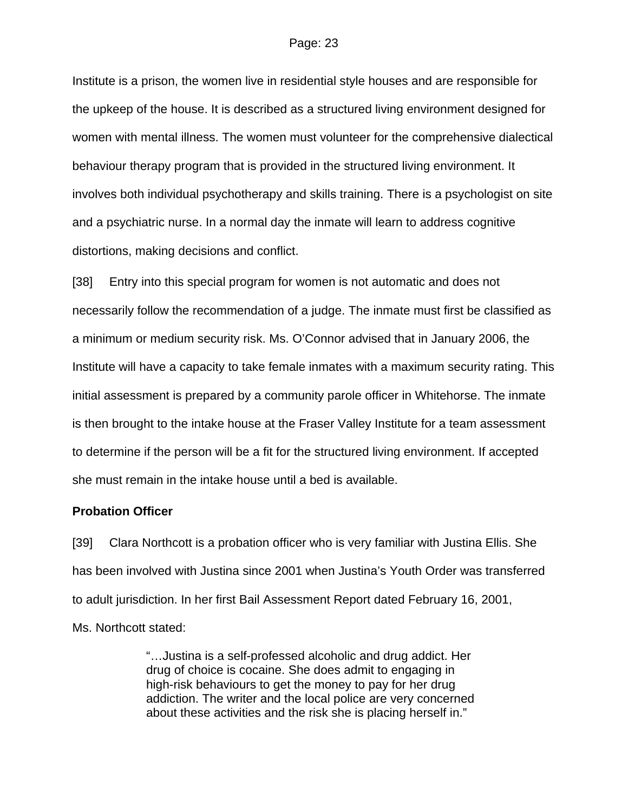Institute is a prison, the women live in residential style houses and are responsible for the upkeep of the house. It is described as a structured living environment designed for women with mental illness. The women must volunteer for the comprehensive dialectical behaviour therapy program that is provided in the structured living environment. It involves both individual psychotherapy and skills training. There is a psychologist on site and a psychiatric nurse. In a normal day the inmate will learn to address cognitive distortions, making decisions and conflict.

[38] Entry into this special program for women is not automatic and does not necessarily follow the recommendation of a judge. The inmate must first be classified as a minimum or medium security risk. Ms. O'Connor advised that in January 2006, the Institute will have a capacity to take female inmates with a maximum security rating. This initial assessment is prepared by a community parole officer in Whitehorse. The inmate is then brought to the intake house at the Fraser Valley Institute for a team assessment to determine if the person will be a fit for the structured living environment. If accepted she must remain in the intake house until a bed is available.

#### **Probation Officer**

[39] Clara Northcott is a probation officer who is very familiar with Justina Ellis. She has been involved with Justina since 2001 when Justina's Youth Order was transferred to adult jurisdiction. In her first Bail Assessment Report dated February 16, 2001,

Ms. Northcott stated:

"…Justina is a self-professed alcoholic and drug addict. Her drug of choice is cocaine. She does admit to engaging in high-risk behaviours to get the money to pay for her drug addiction. The writer and the local police are very concerned about these activities and the risk she is placing herself in."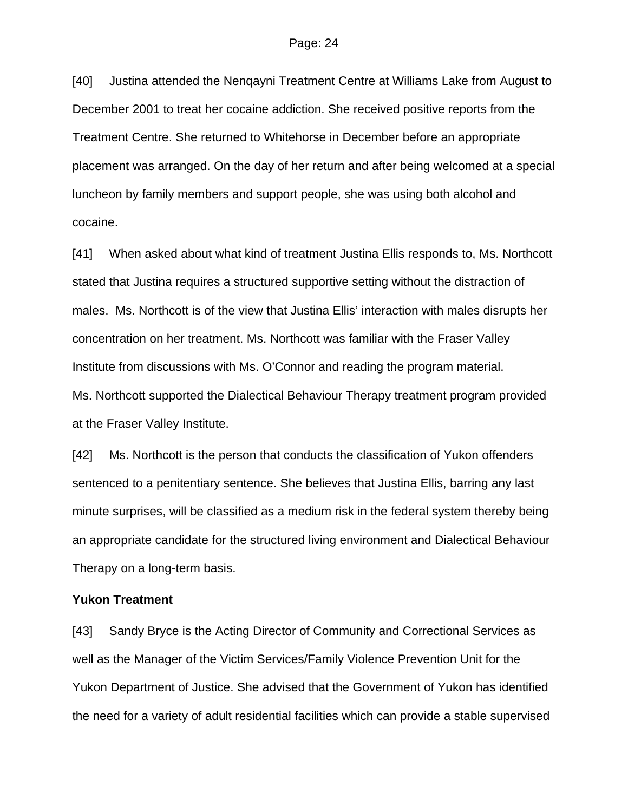[40] Justina attended the Nenqayni Treatment Centre at Williams Lake from August to December 2001 to treat her cocaine addiction. She received positive reports from the Treatment Centre. She returned to Whitehorse in December before an appropriate placement was arranged. On the day of her return and after being welcomed at a special luncheon by family members and support people, she was using both alcohol and cocaine.

[41] When asked about what kind of treatment Justina Ellis responds to, Ms. Northcott stated that Justina requires a structured supportive setting without the distraction of males. Ms. Northcott is of the view that Justina Ellis' interaction with males disrupts her concentration on her treatment. Ms. Northcott was familiar with the Fraser Valley Institute from discussions with Ms. O'Connor and reading the program material. Ms. Northcott supported the Dialectical Behaviour Therapy treatment program provided at the Fraser Valley Institute.

[42] Ms. Northcott is the person that conducts the classification of Yukon offenders sentenced to a penitentiary sentence. She believes that Justina Ellis, barring any last minute surprises, will be classified as a medium risk in the federal system thereby being an appropriate candidate for the structured living environment and Dialectical Behaviour Therapy on a long-term basis.

#### **Yukon Treatment**

[43] Sandy Bryce is the Acting Director of Community and Correctional Services as well as the Manager of the Victim Services/Family Violence Prevention Unit for the Yukon Department of Justice. She advised that the Government of Yukon has identified the need for a variety of adult residential facilities which can provide a stable supervised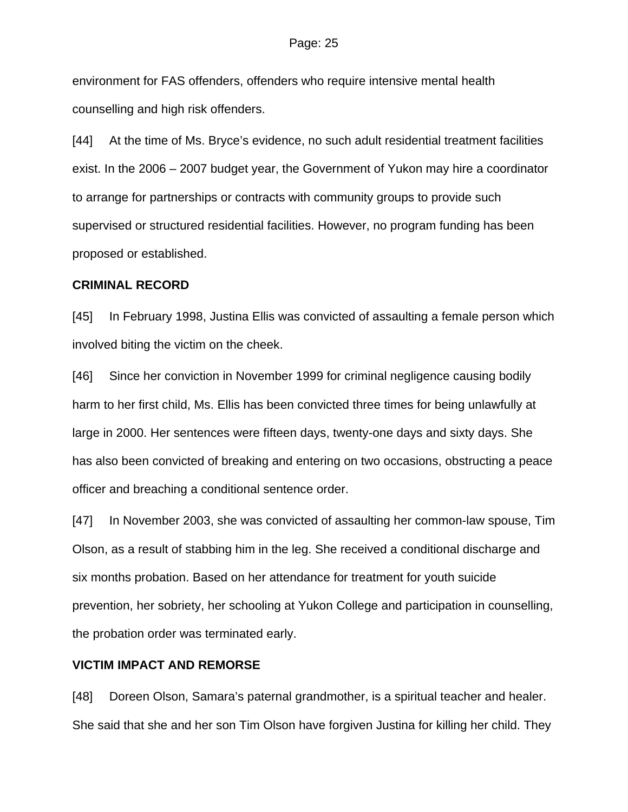#### Page: 25

environment for FAS offenders, offenders who require intensive mental health counselling and high risk offenders.

[44] At the time of Ms. Bryce's evidence, no such adult residential treatment facilities exist. In the 2006 – 2007 budget year, the Government of Yukon may hire a coordinator to arrange for partnerships or contracts with community groups to provide such supervised or structured residential facilities. However, no program funding has been proposed or established.

#### **CRIMINAL RECORD**

[45] In February 1998, Justina Ellis was convicted of assaulting a female person which involved biting the victim on the cheek.

[46] Since her conviction in November 1999 for criminal negligence causing bodily harm to her first child, Ms. Ellis has been convicted three times for being unlawfully at large in 2000. Her sentences were fifteen days, twenty-one days and sixty days. She has also been convicted of breaking and entering on two occasions, obstructing a peace officer and breaching a conditional sentence order.

[47] In November 2003, she was convicted of assaulting her common-law spouse, Tim Olson, as a result of stabbing him in the leg. She received a conditional discharge and six months probation. Based on her attendance for treatment for youth suicide prevention, her sobriety, her schooling at Yukon College and participation in counselling, the probation order was terminated early.

#### **VICTIM IMPACT AND REMORSE**

[48] Doreen Olson, Samara's paternal grandmother, is a spiritual teacher and healer. She said that she and her son Tim Olson have forgiven Justina for killing her child. They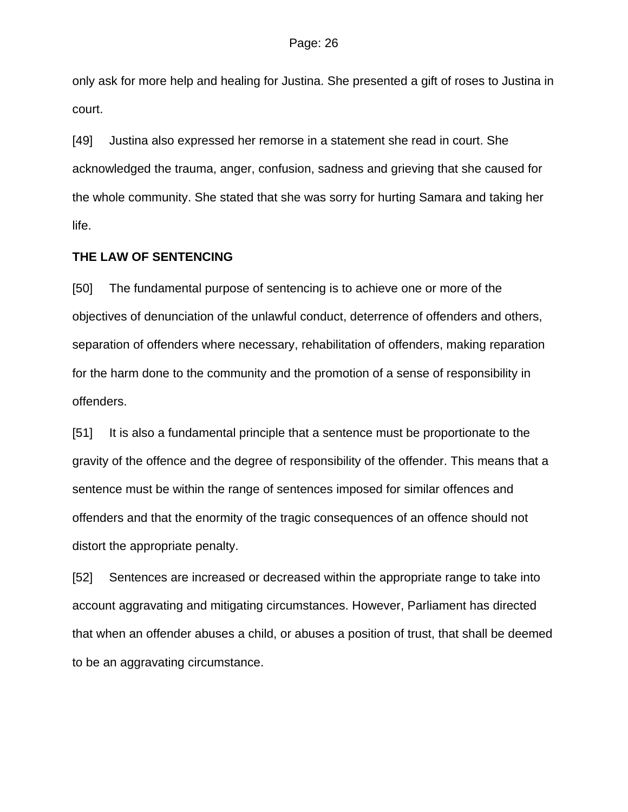only ask for more help and healing for Justina. She presented a gift of roses to Justina in court.

[49] Justina also expressed her remorse in a statement she read in court. She acknowledged the trauma, anger, confusion, sadness and grieving that she caused for the whole community. She stated that she was sorry for hurting Samara and taking her life.

#### **THE LAW OF SENTENCING**

[50] The fundamental purpose of sentencing is to achieve one or more of the objectives of denunciation of the unlawful conduct, deterrence of offenders and others, separation of offenders where necessary, rehabilitation of offenders, making reparation for the harm done to the community and the promotion of a sense of responsibility in offenders.

[51] It is also a fundamental principle that a sentence must be proportionate to the gravity of the offence and the degree of responsibility of the offender. This means that a sentence must be within the range of sentences imposed for similar offences and offenders and that the enormity of the tragic consequences of an offence should not distort the appropriate penalty.

[52] Sentences are increased or decreased within the appropriate range to take into account aggravating and mitigating circumstances. However, Parliament has directed that when an offender abuses a child, or abuses a position of trust, that shall be deemed to be an aggravating circumstance.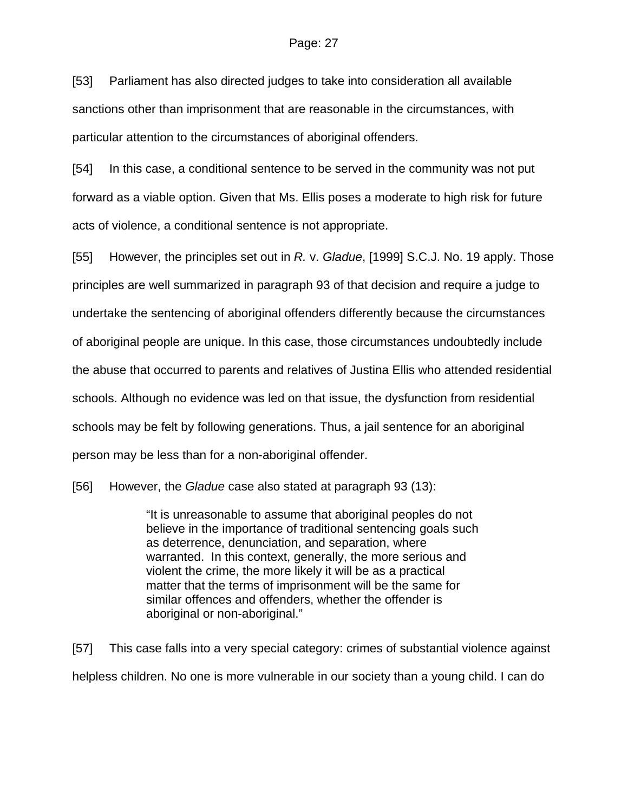#### Page: 27

[53] Parliament has also directed judges to take into consideration all available sanctions other than imprisonment that are reasonable in the circumstances, with particular attention to the circumstances of aboriginal offenders.

[54] In this case, a conditional sentence to be served in the community was not put forward as a viable option. Given that Ms. Ellis poses a moderate to high risk for future acts of violence, a conditional sentence is not appropriate.

[55] However, the principles set out in *R.* v. *Gladue*, [1999] S.C.J. No. 19 apply. Those principles are well summarized in paragraph 93 of that decision and require a judge to undertake the sentencing of aboriginal offenders differently because the circumstances of aboriginal people are unique. In this case, those circumstances undoubtedly include the abuse that occurred to parents and relatives of Justina Ellis who attended residential schools. Although no evidence was led on that issue, the dysfunction from residential schools may be felt by following generations. Thus, a jail sentence for an aboriginal person may be less than for a non-aboriginal offender.

[56] However, the *Gladue* case also stated at paragraph 93 (13):

"It is unreasonable to assume that aboriginal peoples do not believe in the importance of traditional sentencing goals such as deterrence, denunciation, and separation, where warranted. In this context, generally, the more serious and violent the crime, the more likely it will be as a practical matter that the terms of imprisonment will be the same for similar offences and offenders, whether the offender is aboriginal or non-aboriginal."

[57] This case falls into a very special category: crimes of substantial violence against helpless children. No one is more vulnerable in our society than a young child. I can do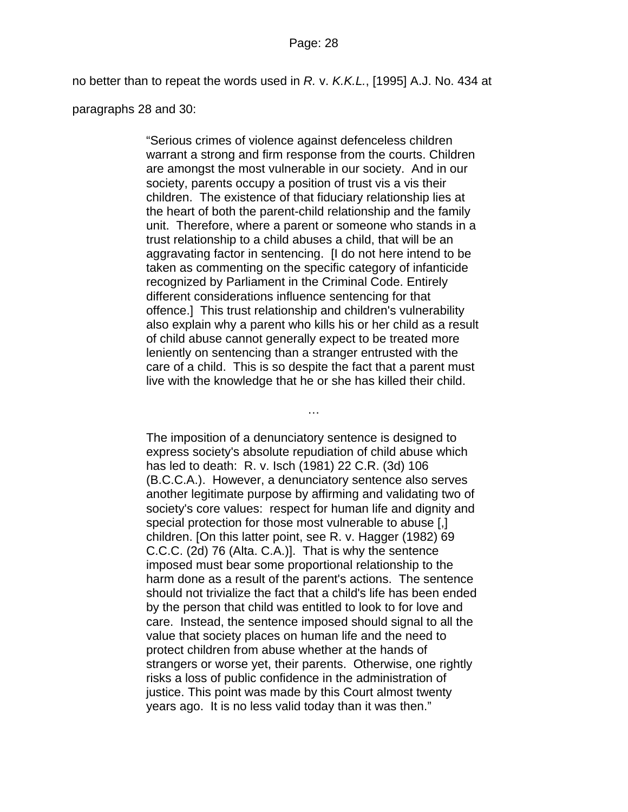no better than to repeat the words used in *R.* v. *K.K.L.*, [1995] A.J. No. 434 at

paragraphs 28 and 30:

"Serious crimes of violence against defenceless children warrant a strong and firm response from the courts. Children are amongst the most vulnerable in our society. And in our society, parents occupy a position of trust vis a vis their children. The existence of that fiduciary relationship lies at the heart of both the parent-child relationship and the family unit. Therefore, where a parent or someone who stands in a trust relationship to a child abuses a child, that will be an aggravating factor in sentencing. [I do not here intend to be taken as commenting on the specific category of infanticide recognized by Parliament in the Criminal Code. Entirely different considerations influence sentencing for that offence.] This trust relationship and children's vulnerability also explain why a parent who kills his or her child as a result of child abuse cannot generally expect to be treated more leniently on sentencing than a stranger entrusted with the care of a child. This is so despite the fact that a parent must live with the knowledge that he or she has killed their child.

…

The imposition of a denunciatory sentence is designed to express society's absolute repudiation of child abuse which has led to death: R. v. Isch (1981) [22 C.R. \(3d\) 106](http://ql.quicklaw.com/servlet/qlwbic.qlwbi?qlsid=C1KjkZMAYbvXTFwg&qlcid=00002&qlvrb=QL002&UGET=Q0116793,BCJH) (B.C.C.A.). However, a denunciatory sentence also serves another legitimate purpose by affirming and validating two of society's core values: respect for human life and dignity and special protection for those most vulnerable to abuse [,] children. [On this latter point, see R. v. Hagger (1982) [69](http://ql.quicklaw.com/servlet/qlwbic.qlwbi?qlsid=C1KjkZMAYbvXTFwg&qlcid=00002&qlvrb=QL002&UGET=Q0107249,CCC%20)  [C.C.C. \(2d\) 76](http://ql.quicklaw.com/servlet/qlwbic.qlwbi?qlsid=C1KjkZMAYbvXTFwg&qlcid=00002&qlvrb=QL002&UGET=Q0107249,CCC%20) (Alta. C.A.)]. That is why the sentence imposed must bear some proportional relationship to the harm done as a result of the parent's actions. The sentence should not trivialize the fact that a child's life has been ended by the person that child was entitled to look to for love and care. Instead, the sentence imposed should signal to all the value that society places on human life and the need to protect children from abuse whether at the hands of strangers or worse yet, their parents. Otherwise, one rightly risks a loss of public confidence in the administration of justice. This point was made by this Court almost twenty years ago. It is no less valid today than it was then."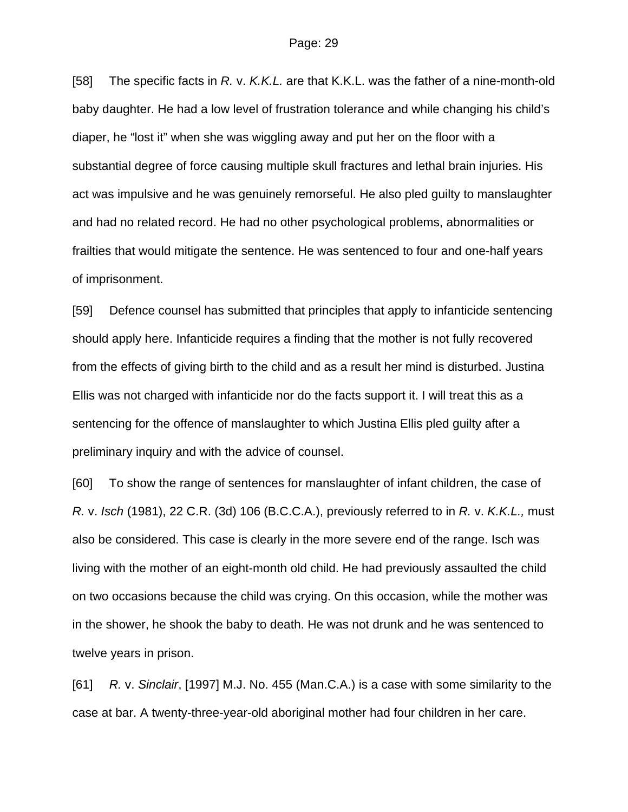[58] The specific facts in *R.* v. *K.K.L.* are that K.K.L. was the father of a nine-month-old baby daughter. He had a low level of frustration tolerance and while changing his child's diaper, he "lost it" when she was wiggling away and put her on the floor with a substantial degree of force causing multiple skull fractures and lethal brain injuries. His act was impulsive and he was genuinely remorseful. He also pled guilty to manslaughter and had no related record. He had no other psychological problems, abnormalities or frailties that would mitigate the sentence. He was sentenced to four and one-half years of imprisonment.

[59] Defence counsel has submitted that principles that apply to infanticide sentencing should apply here. Infanticide requires a finding that the mother is not fully recovered from the effects of giving birth to the child and as a result her mind is disturbed. Justina Ellis was not charged with infanticide nor do the facts support it. I will treat this as a sentencing for the offence of manslaughter to which Justina Ellis pled guilty after a preliminary inquiry and with the advice of counsel.

[60] To show the range of sentences for manslaughter of infant children, the case of *R.* v. *Isch* (1981), [22 C.R. \(3d\) 106](http://ql.quicklaw.com/servlet/qlwbic.qlwbi?qlsid=C1KjkZMAYbvXTFwg&qlcid=00002&qlvrb=QL002&UGET=Q0116793,BCJH) (B.C.C.A.), previously referred to in *R.* v. *K.K.L.,* must also be considered. This case is clearly in the more severe end of the range. Isch was living with the mother of an eight-month old child. He had previously assaulted the child on two occasions because the child was crying. On this occasion, while the mother was in the shower, he shook the baby to death. He was not drunk and he was sentenced to twelve years in prison.

[61] *R.* v. *Sinclair*, [1997] M.J. No. 455 (Man.C.A.) is a case with some similarity to the case at bar. A twenty-three-year-old aboriginal mother had four children in her care.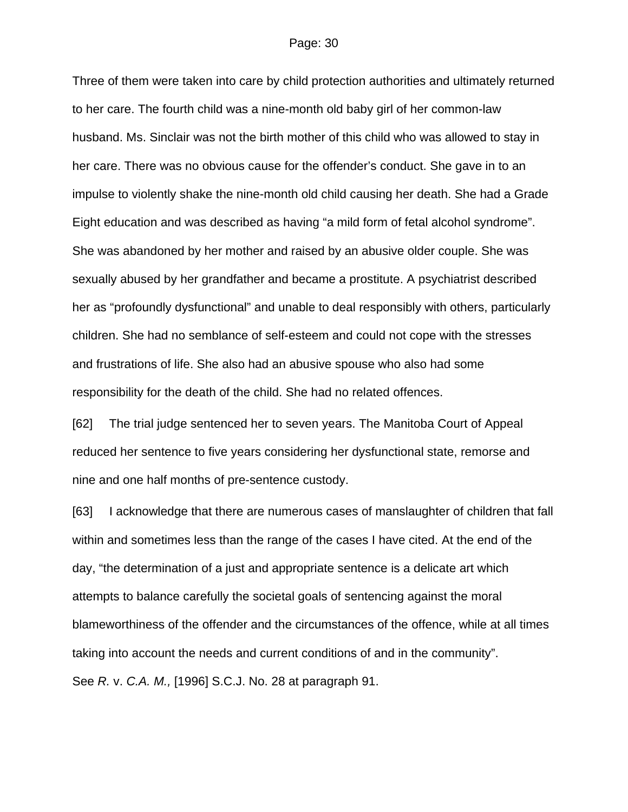Three of them were taken into care by child protection authorities and ultimately returned to her care. The fourth child was a nine-month old baby girl of her common-law husband. Ms. Sinclair was not the birth mother of this child who was allowed to stay in her care. There was no obvious cause for the offender's conduct. She gave in to an impulse to violently shake the nine-month old child causing her death. She had a Grade Eight education and was described as having "a mild form of fetal alcohol syndrome". She was abandoned by her mother and raised by an abusive older couple. She was sexually abused by her grandfather and became a prostitute. A psychiatrist described her as "profoundly dysfunctional" and unable to deal responsibly with others, particularly children. She had no semblance of self-esteem and could not cope with the stresses and frustrations of life. She also had an abusive spouse who also had some responsibility for the death of the child. She had no related offences.

[62] The trial judge sentenced her to seven years. The Manitoba Court of Appeal reduced her sentence to five years considering her dysfunctional state, remorse and nine and one half months of pre-sentence custody.

[63] I acknowledge that there are numerous cases of manslaughter of children that fall within and sometimes less than the range of the cases I have cited. At the end of the day, "the determination of a just and appropriate sentence is a delicate art which attempts to balance carefully the societal goals of sentencing against the moral blameworthiness of the offender and the circumstances of the offence, while at all times taking into account the needs and current conditions of and in the community". See *R.* v. *C.A. M.,* [1996] S.C.J. No. 28 at paragraph 91.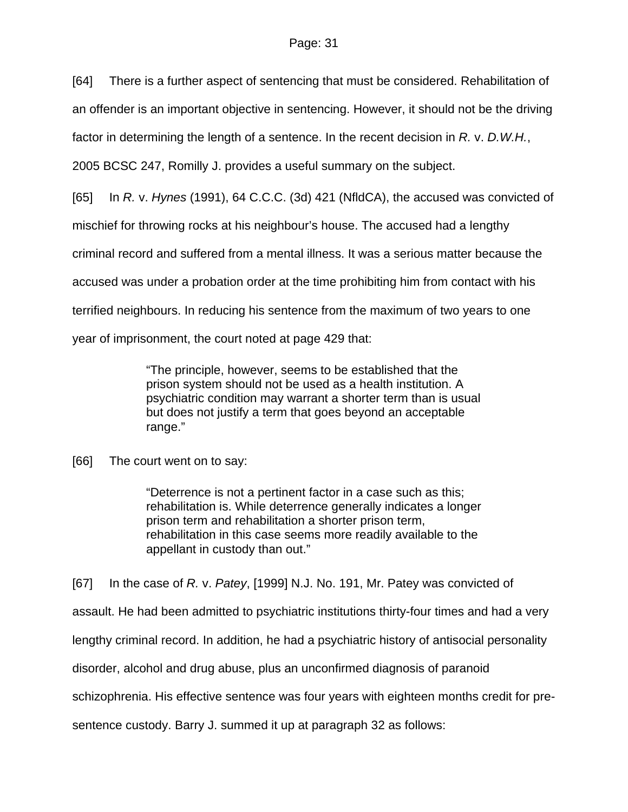[64] There is a further aspect of sentencing that must be considered. Rehabilitation of

an offender is an important objective in sentencing. However, it should not be the driving

factor in determining the length of a sentence. In the recent decision in *R.* v. *D.W.H.*,

2005 BCSC 247, Romilly J. provides a useful summary on the subject.

[65] In *R.* v. *Hynes* (1991), 64 C.C.C. (3d) 421 (NfldCA), the accused was convicted of

mischief for throwing rocks at his neighbour's house. The accused had a lengthy

criminal record and suffered from a mental illness. It was a serious matter because the

accused was under a probation order at the time prohibiting him from contact with his

terrified neighbours. In reducing his sentence from the maximum of two years to one

year of imprisonment, the court noted at page 429 that:

"The principle, however, seems to be established that the prison system should not be used as a health institution. A psychiatric condition may warrant a shorter term than is usual but does not justify a term that goes beyond an acceptable range."

[66] The court went on to say:

"Deterrence is not a pertinent factor in a case such as this; rehabilitation is. While deterrence generally indicates a longer prison term and rehabilitation a shorter prison term, rehabilitation in this case seems more readily available to the appellant in custody than out."

[67] In the case of *R.* v. *Patey*, [1999] N.J. No. 191, Mr. Patey was convicted of assault. He had been admitted to psychiatric institutions thirty-four times and had a very lengthy criminal record. In addition, he had a psychiatric history of antisocial personality disorder, alcohol and drug abuse, plus an unconfirmed diagnosis of paranoid schizophrenia. His effective sentence was four years with eighteen months credit for presentence custody. Barry J. summed it up at paragraph 32 as follows: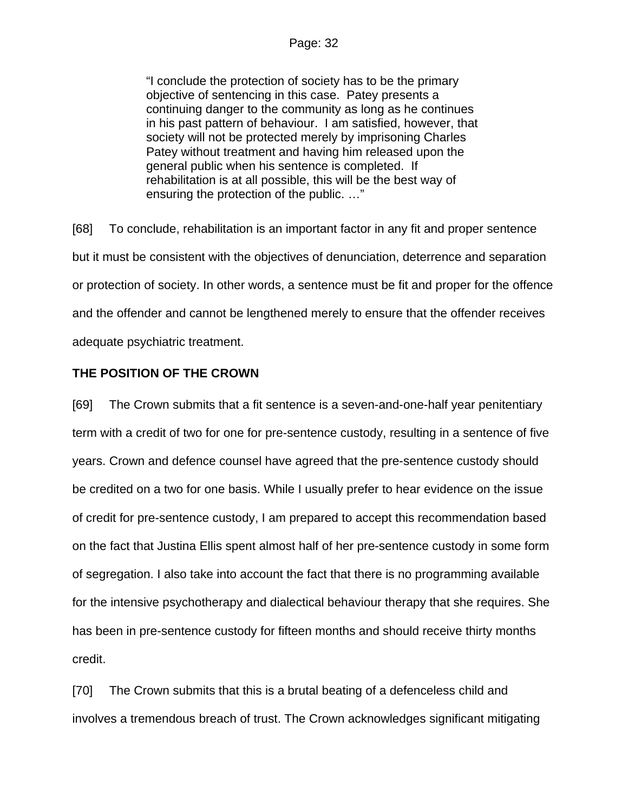"I conclude the protection of society has to be the primary objective of sentencing in this case. Patey presents a continuing danger to the community as long as he continues in his past pattern of behaviour. I am satisfied, however, that society will not be protected merely by imprisoning Charles Patey without treatment and having him released upon the general public when his sentence is completed. If rehabilitation is at all possible, this will be the best way of ensuring the protection of the public. …"

[68] To conclude, rehabilitation is an important factor in any fit and proper sentence but it must be consistent with the objectives of denunciation, deterrence and separation or protection of society. In other words, a sentence must be fit and proper for the offence and the offender and cannot be lengthened merely to ensure that the offender receives adequate psychiatric treatment.

## **THE POSITION OF THE CROWN**

[69] The Crown submits that a fit sentence is a seven-and-one-half year penitentiary term with a credit of two for one for pre-sentence custody, resulting in a sentence of five years. Crown and defence counsel have agreed that the pre-sentence custody should be credited on a two for one basis. While I usually prefer to hear evidence on the issue of credit for pre-sentence custody, I am prepared to accept this recommendation based on the fact that Justina Ellis spent almost half of her pre-sentence custody in some form of segregation. I also take into account the fact that there is no programming available for the intensive psychotherapy and dialectical behaviour therapy that she requires. She has been in pre-sentence custody for fifteen months and should receive thirty months credit.

[70] The Crown submits that this is a brutal beating of a defenceless child and involves a tremendous breach of trust. The Crown acknowledges significant mitigating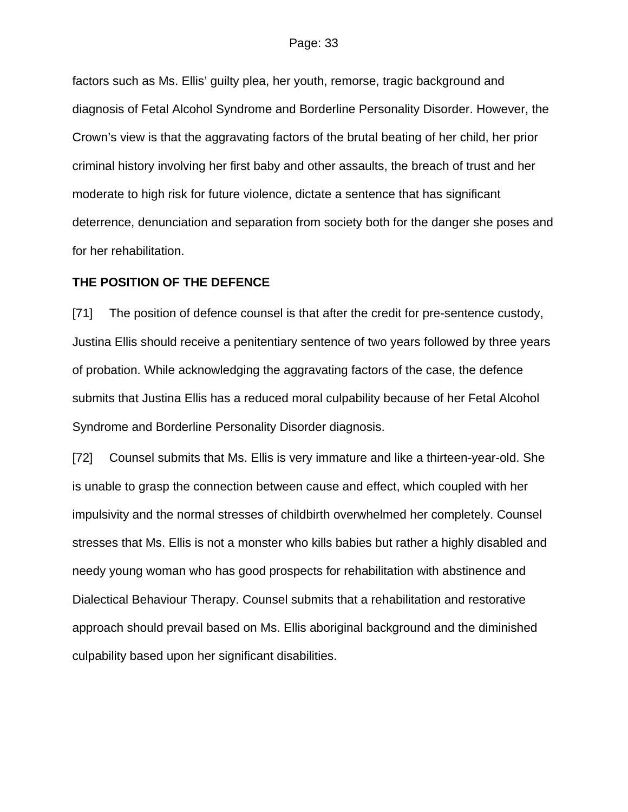factors such as Ms. Ellis' guilty plea, her youth, remorse, tragic background and diagnosis of Fetal Alcohol Syndrome and Borderline Personality Disorder. However, the Crown's view is that the aggravating factors of the brutal beating of her child, her prior criminal history involving her first baby and other assaults, the breach of trust and her moderate to high risk for future violence, dictate a sentence that has significant deterrence, denunciation and separation from society both for the danger she poses and for her rehabilitation.

#### **THE POSITION OF THE DEFENCE**

[71] The position of defence counsel is that after the credit for pre-sentence custody, Justina Ellis should receive a penitentiary sentence of two years followed by three years of probation. While acknowledging the aggravating factors of the case, the defence submits that Justina Ellis has a reduced moral culpability because of her Fetal Alcohol Syndrome and Borderline Personality Disorder diagnosis.

[72] Counsel submits that Ms. Ellis is very immature and like a thirteen-year-old. She is unable to grasp the connection between cause and effect, which coupled with her impulsivity and the normal stresses of childbirth overwhelmed her completely. Counsel stresses that Ms. Ellis is not a monster who kills babies but rather a highly disabled and needy young woman who has good prospects for rehabilitation with abstinence and Dialectical Behaviour Therapy. Counsel submits that a rehabilitation and restorative approach should prevail based on Ms. Ellis aboriginal background and the diminished culpability based upon her significant disabilities.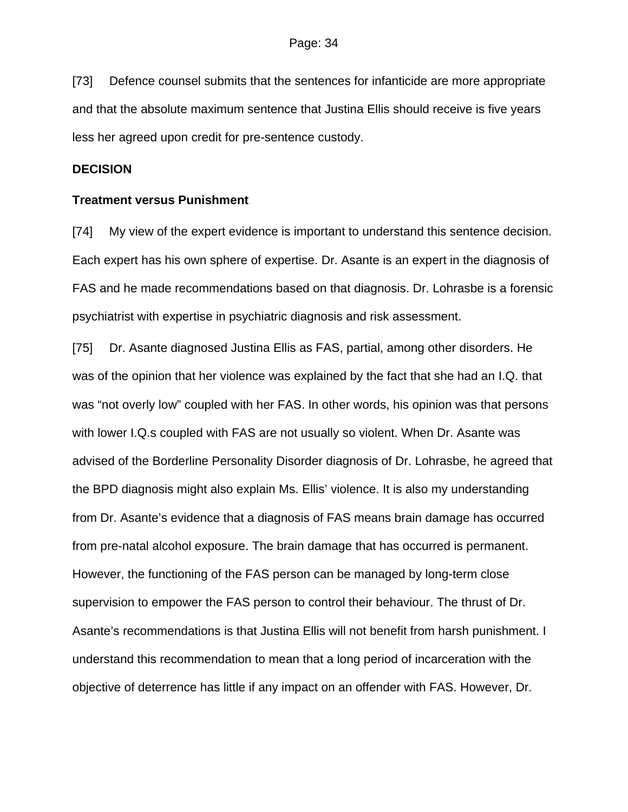[73] Defence counsel submits that the sentences for infanticide are more appropriate and that the absolute maximum sentence that Justina Ellis should receive is five years less her agreed upon credit for pre-sentence custody.

#### **DECISION**

#### **Treatment versus Punishment**

[74] My view of the expert evidence is important to understand this sentence decision. Each expert has his own sphere of expertise. Dr. Asante is an expert in the diagnosis of FAS and he made recommendations based on that diagnosis. Dr. Lohrasbe is a forensic psychiatrist with expertise in psychiatric diagnosis and risk assessment.

[75] Dr. Asante diagnosed Justina Ellis as FAS, partial, among other disorders. He was of the opinion that her violence was explained by the fact that she had an I.Q. that was "not overly low" coupled with her FAS. In other words, his opinion was that persons with lower I.Q.s coupled with FAS are not usually so violent. When Dr. Asante was advised of the Borderline Personality Disorder diagnosis of Dr. Lohrasbe, he agreed that the BPD diagnosis might also explain Ms. Ellis' violence. It is also my understanding from Dr. Asante's evidence that a diagnosis of FAS means brain damage has occurred from pre-natal alcohol exposure. The brain damage that has occurred is permanent. However, the functioning of the FAS person can be managed by long-term close supervision to empower the FAS person to control their behaviour. The thrust of Dr. Asante's recommendations is that Justina Ellis will not benefit from harsh punishment. I understand this recommendation to mean that a long period of incarceration with the objective of deterrence has little if any impact on an offender with FAS. However, Dr.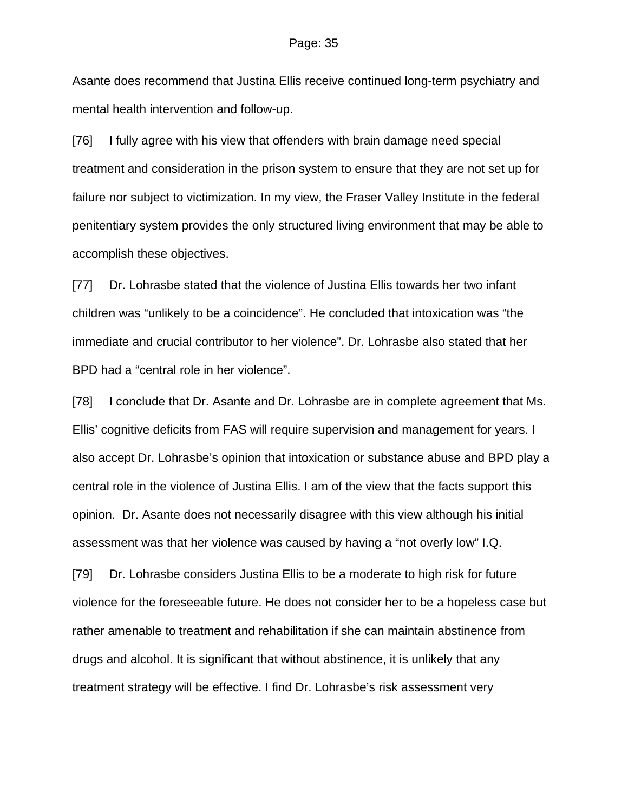Asante does recommend that Justina Ellis receive continued long-term psychiatry and mental health intervention and follow-up.

[76] I fully agree with his view that offenders with brain damage need special treatment and consideration in the prison system to ensure that they are not set up for failure nor subject to victimization. In my view, the Fraser Valley Institute in the federal penitentiary system provides the only structured living environment that may be able to accomplish these objectives.

[77] Dr. Lohrasbe stated that the violence of Justina Ellis towards her two infant children was "unlikely to be a coincidence". He concluded that intoxication was "the immediate and crucial contributor to her violence". Dr. Lohrasbe also stated that her BPD had a "central role in her violence".

[78] I conclude that Dr. Asante and Dr. Lohrasbe are in complete agreement that Ms. Ellis' cognitive deficits from FAS will require supervision and management for years. I also accept Dr. Lohrasbe's opinion that intoxication or substance abuse and BPD play a central role in the violence of Justina Ellis. I am of the view that the facts support this opinion. Dr. Asante does not necessarily disagree with this view although his initial assessment was that her violence was caused by having a "not overly low" I.Q.

[79] Dr. Lohrasbe considers Justina Ellis to be a moderate to high risk for future violence for the foreseeable future. He does not consider her to be a hopeless case but rather amenable to treatment and rehabilitation if she can maintain abstinence from drugs and alcohol. It is significant that without abstinence, it is unlikely that any treatment strategy will be effective. I find Dr. Lohrasbe's risk assessment very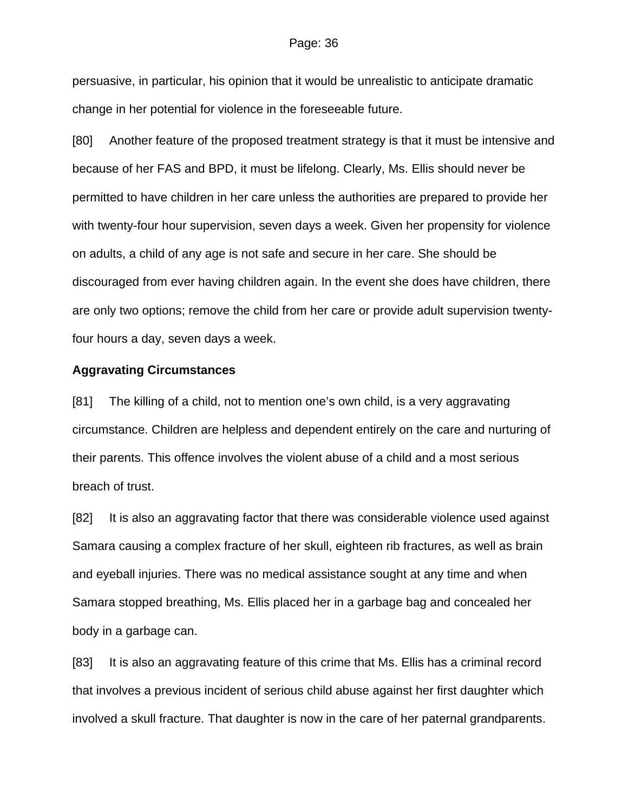#### Page: 36

persuasive, in particular, his opinion that it would be unrealistic to anticipate dramatic change in her potential for violence in the foreseeable future.

[80] Another feature of the proposed treatment strategy is that it must be intensive and because of her FAS and BPD, it must be lifelong. Clearly, Ms. Ellis should never be permitted to have children in her care unless the authorities are prepared to provide her with twenty-four hour supervision, seven days a week. Given her propensity for violence on adults, a child of any age is not safe and secure in her care. She should be discouraged from ever having children again. In the event she does have children, there are only two options; remove the child from her care or provide adult supervision twentyfour hours a day, seven days a week.

#### **Aggravating Circumstances**

[81] The killing of a child, not to mention one's own child, is a very aggravating circumstance. Children are helpless and dependent entirely on the care and nurturing of their parents. This offence involves the violent abuse of a child and a most serious breach of trust.

[82] It is also an aggravating factor that there was considerable violence used against Samara causing a complex fracture of her skull, eighteen rib fractures, as well as brain and eyeball injuries. There was no medical assistance sought at any time and when Samara stopped breathing, Ms. Ellis placed her in a garbage bag and concealed her body in a garbage can.

[83] It is also an aggravating feature of this crime that Ms. Ellis has a criminal record that involves a previous incident of serious child abuse against her first daughter which involved a skull fracture. That daughter is now in the care of her paternal grandparents.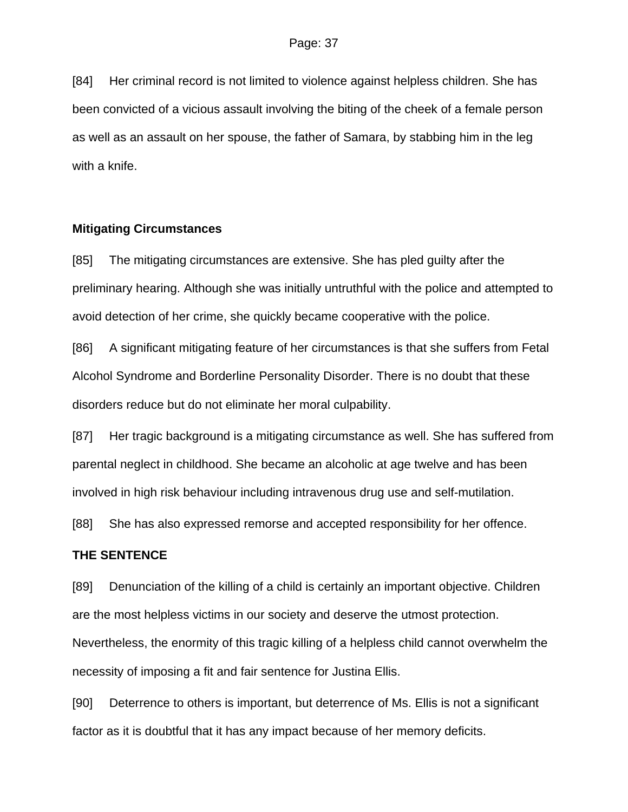[84] Her criminal record is not limited to violence against helpless children. She has been convicted of a vicious assault involving the biting of the cheek of a female person as well as an assault on her spouse, the father of Samara, by stabbing him in the leg with a knife.

#### **Mitigating Circumstances**

[85] The mitigating circumstances are extensive. She has pled guilty after the preliminary hearing. Although she was initially untruthful with the police and attempted to avoid detection of her crime, she quickly became cooperative with the police.

[86] A significant mitigating feature of her circumstances is that she suffers from Fetal Alcohol Syndrome and Borderline Personality Disorder. There is no doubt that these disorders reduce but do not eliminate her moral culpability.

[87] Her tragic background is a mitigating circumstance as well. She has suffered from parental neglect in childhood. She became an alcoholic at age twelve and has been involved in high risk behaviour including intravenous drug use and self-mutilation.

[88] She has also expressed remorse and accepted responsibility for her offence.

### **THE SENTENCE**

[89] Denunciation of the killing of a child is certainly an important objective. Children are the most helpless victims in our society and deserve the utmost protection. Nevertheless, the enormity of this tragic killing of a helpless child cannot overwhelm the necessity of imposing a fit and fair sentence for Justina Ellis.

[90] Deterrence to others is important, but deterrence of Ms. Ellis is not a significant factor as it is doubtful that it has any impact because of her memory deficits.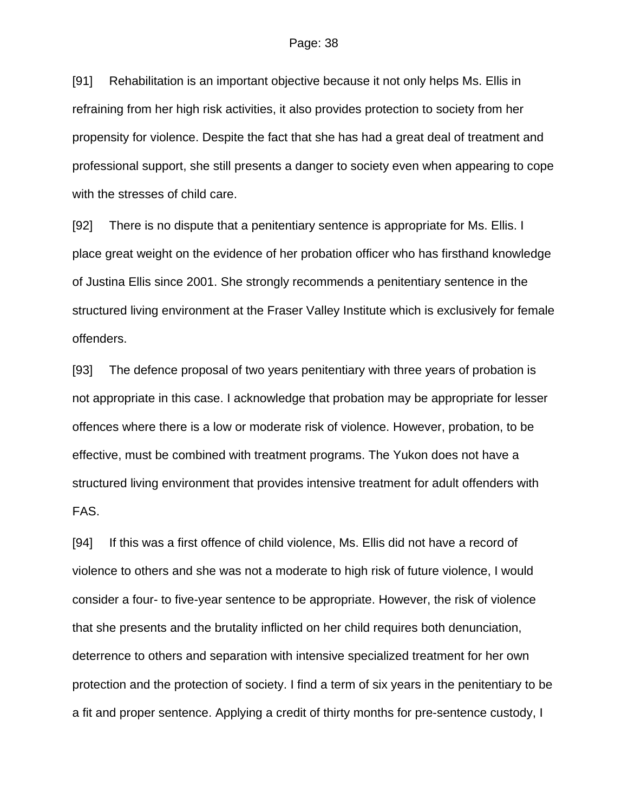[91] Rehabilitation is an important objective because it not only helps Ms. Ellis in refraining from her high risk activities, it also provides protection to society from her propensity for violence. Despite the fact that she has had a great deal of treatment and professional support, she still presents a danger to society even when appearing to cope with the stresses of child care.

[92] There is no dispute that a penitentiary sentence is appropriate for Ms. Ellis. I place great weight on the evidence of her probation officer who has firsthand knowledge of Justina Ellis since 2001. She strongly recommends a penitentiary sentence in the structured living environment at the Fraser Valley Institute which is exclusively for female offenders.

[93] The defence proposal of two years penitentiary with three years of probation is not appropriate in this case. I acknowledge that probation may be appropriate for lesser offences where there is a low or moderate risk of violence. However, probation, to be effective, must be combined with treatment programs. The Yukon does not have a structured living environment that provides intensive treatment for adult offenders with FAS.

[94] If this was a first offence of child violence, Ms. Ellis did not have a record of violence to others and she was not a moderate to high risk of future violence, I would consider a four- to five-year sentence to be appropriate. However, the risk of violence that she presents and the brutality inflicted on her child requires both denunciation, deterrence to others and separation with intensive specialized treatment for her own protection and the protection of society. I find a term of six years in the penitentiary to be a fit and proper sentence. Applying a credit of thirty months for pre-sentence custody, I